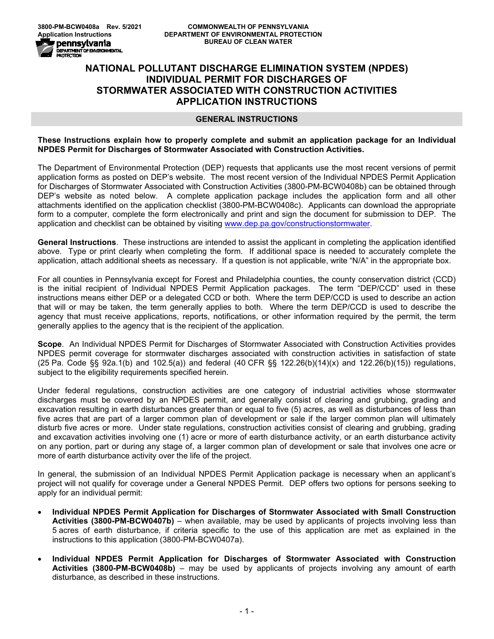## **NATIONAL POLLUTANT DISCHARGE ELIMINATION SYSTEM (NPDES) INDIVIDUAL PERMIT FOR DISCHARGES OF STORMWATER ASSOCIATED WITH CONSTRUCTION ACTIVITIES APPLICATION INSTRUCTIONS**

### **GENERAL INSTRUCTIONS**

## **These Instructions explain how to properly complete and submit an application package for an Individual NPDES Permit for Discharges of Stormwater Associated with Construction Activities.**

The Department of Environmental Protection (DEP) requests that applicants use the most recent versions of permit application forms as posted on DEP's website. The most recent version of the Individual NPDES Permit Application for Discharges of Stormwater Associated with Construction Activities (3800-PM-BCW0408b) can be obtained through DEP's website as noted below. A complete application package includes the application form and all other attachments identified on the application checklist (3800-PM-BCW0408c). Applicants can download the appropriate form to a computer, complete the form electronically and print and sign the document for submission to DEP. The application and checklist can be obtained by visiting [www.dep.pa.gov/constructionstormwater.](http://www.dep.pa.gov/constructionstormwater)

**General Instructions**. These instructions are intended to assist the applicant in completing the application identified above. Type or print clearly when completing the form. If additional space is needed to accurately complete the application, attach additional sheets as necessary. If a question is not applicable, write "N/A" in the appropriate box.

For all counties in Pennsylvania except for Forest and Philadelphia counties, the county conservation district (CCD) is the initial recipient of Individual NPDES Permit Application packages. The term "DEP/CCD" used in these instructions means either DEP or a delegated CCD or both. Where the term DEP/CCD is used to describe an action that will or may be taken, the term generally applies to both. Where the term DEP/CCD is used to describe the agency that must receive applications, reports, notifications, or other information required by the permit, the term generally applies to the agency that is the recipient of the application.

**Scope**. An Individual NPDES Permit for Discharges of Stormwater Associated with Construction Activities provides NPDES permit coverage for stormwater discharges associated with construction activities in satisfaction of state (25 Pa. Code §§ 92a.1(b) and 102.5(a)) and federal (40 CFR §§ 122.26(b)(14)(x) and 122.26(b)(15)) regulations, subject to the eligibility requirements specified herein.

Under federal regulations, construction activities are one category of industrial activities whose stormwater discharges must be covered by an NPDES permit, and generally consist of clearing and grubbing, grading and excavation resulting in earth disturbances greater than or equal to five (5) acres, as well as disturbances of less than five acres that are part of a larger common plan of development or sale if the larger common plan will ultimately disturb five acres or more. Under state regulations, construction activities consist of clearing and grubbing, grading and excavation activities involving one (1) acre or more of earth disturbance activity, or an earth disturbance activity on any portion, part or during any stage of, a larger common plan of development or sale that involves one acre or more of earth disturbance activity over the life of the project.

In general, the submission of an Individual NPDES Permit Application package is necessary when an applicant's project will not qualify for coverage under a General NPDES Permit. DEP offers two options for persons seeking to apply for an individual permit:

- **Individual NPDES Permit Application for Discharges of Stormwater Associated with Small Construction Activities (3800-PM-BCW0407b)** – when available, may be used by applicants of projects involving less than 5 acres of earth disturbance, if criteria specific to the use of this application are met as explained in the instructions to this application (3800-PM-BCW0407a).
- **Individual NPDES Permit Application for Discharges of Stormwater Associated with Construction Activities (3800-PM-BCW0408b)** – may be used by applicants of projects involving any amount of earth disturbance, as described in these instructions.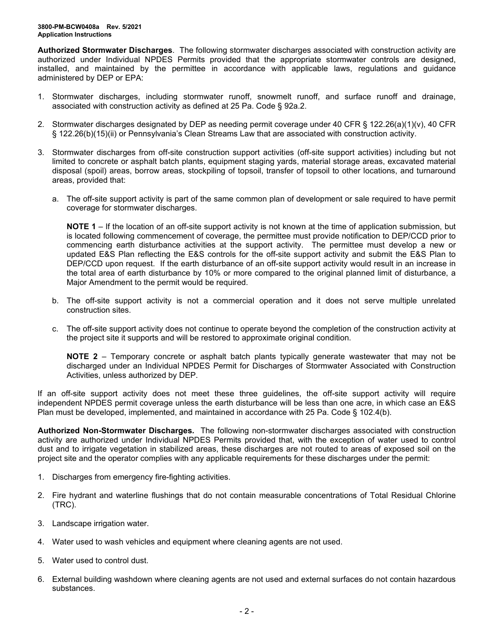**Authorized Stormwater Discharges**. The following stormwater discharges associated with construction activity are authorized under Individual NPDES Permits provided that the appropriate stormwater controls are designed, installed, and maintained by the permittee in accordance with applicable laws, regulations and guidance administered by DEP or EPA:

- 1. Stormwater discharges, including stormwater runoff, snowmelt runoff, and surface runoff and drainage, associated with construction activity as defined at 25 Pa. Code § 92a.2.
- 2. Stormwater discharges designated by DEP as needing permit coverage under 40 CFR § 122.26(a)(1)(v), 40 CFR § 122.26(b)(15)(ii) or Pennsylvania's Clean Streams Law that are associated with construction activity.
- 3. Stormwater discharges from off-site construction support activities (off-site support activities) including but not limited to concrete or asphalt batch plants, equipment staging yards, material storage areas, excavated material disposal (spoil) areas, borrow areas, stockpiling of topsoil, transfer of topsoil to other locations, and turnaround areas, provided that:
	- a. The off-site support activity is part of the same common plan of development or sale required to have permit coverage for stormwater discharges.

**NOTE 1** – If the location of an off-site support activity is not known at the time of application submission, but is located following commencement of coverage, the permittee must provide notification to DEP/CCD prior to commencing earth disturbance activities at the support activity. The permittee must develop a new or updated E&S Plan reflecting the E&S controls for the off-site support activity and submit the E&S Plan to DEP/CCD upon request. If the earth disturbance of an off-site support activity would result in an increase in the total area of earth disturbance by 10% or more compared to the original planned limit of disturbance, a Major Amendment to the permit would be required.

- b. The off-site support activity is not a commercial operation and it does not serve multiple unrelated construction sites.
- c. The off-site support activity does not continue to operate beyond the completion of the construction activity at the project site it supports and will be restored to approximate original condition.

**NOTE 2** – Temporary concrete or asphalt batch plants typically generate wastewater that may not be discharged under an Individual NPDES Permit for Discharges of Stormwater Associated with Construction Activities, unless authorized by DEP.

If an off-site support activity does not meet these three guidelines, the off-site support activity will require independent NPDES permit coverage unless the earth disturbance will be less than one acre, in which case an E&S Plan must be developed, implemented, and maintained in accordance with 25 Pa. Code § 102.4(b).

**Authorized Non-Stormwater Discharges***.* The following non-stormwater discharges associated with construction activity are authorized under Individual NPDES Permits provided that, with the exception of water used to control dust and to irrigate vegetation in stabilized areas, these discharges are not routed to areas of exposed soil on the project site and the operator complies with any applicable requirements for these discharges under the permit:

- 1. Discharges from emergency fire-fighting activities.
- 2. Fire hydrant and waterline flushings that do not contain measurable concentrations of Total Residual Chlorine (TRC).
- 3. Landscape irrigation water.
- 4. Water used to wash vehicles and equipment where cleaning agents are not used.
- 5. Water used to control dust.
- 6. External building washdown where cleaning agents are not used and external surfaces do not contain hazardous substances.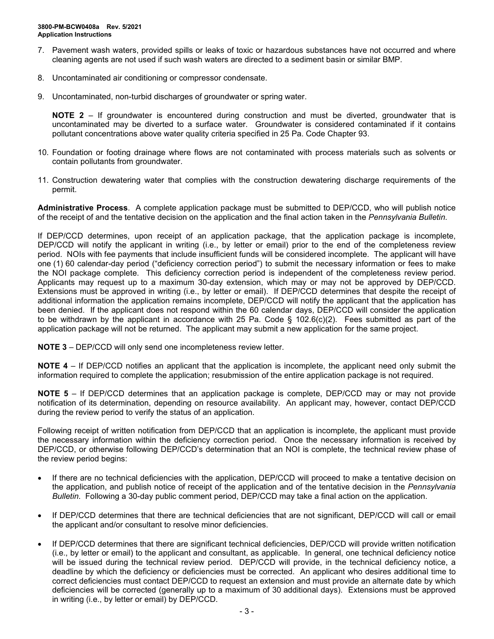- 7. Pavement wash waters, provided spills or leaks of toxic or hazardous substances have not occurred and where cleaning agents are not used if such wash waters are directed to a sediment basin or similar BMP.
- 8. Uncontaminated air conditioning or compressor condensate.
- 9. Uncontaminated, non-turbid discharges of groundwater or spring water.

**NOTE 2** – If groundwater is encountered during construction and must be diverted, groundwater that is uncontaminated may be diverted to a surface water. Groundwater is considered contaminated if it contains pollutant concentrations above water quality criteria specified in 25 Pa. Code Chapter 93.

- 10. Foundation or footing drainage where flows are not contaminated with process materials such as solvents or contain pollutants from groundwater.
- 11. Construction dewatering water that complies with the construction dewatering discharge requirements of the permit.

**Administrative Process**. A complete application package must be submitted to DEP/CCD, who will publish notice of the receipt of and the tentative decision on the application and the final action taken in the *Pennsylvania Bulletin*.

If DEP/CCD determines, upon receipt of an application package, that the application package is incomplete, DEP/CCD will notify the applicant in writing (i.e., by letter or email) prior to the end of the completeness review period. NOIs with fee payments that include insufficient funds will be considered incomplete. The applicant will have one (1) 60 calendar-day period ("deficiency correction period") to submit the necessary information or fees to make the NOI package complete. This deficiency correction period is independent of the completeness review period. Applicants may request up to a maximum 30-day extension, which may or may not be approved by DEP/CCD. Extensions must be approved in writing (i.e., by letter or email). If DEP/CCD determines that despite the receipt of additional information the application remains incomplete, DEP/CCD will notify the applicant that the application has been denied. If the applicant does not respond within the 60 calendar days, DEP/CCD will consider the application to be withdrawn by the applicant in accordance with 25 Pa. Code § 102.6(c)(2). Fees submitted as part of the application package will not be returned. The applicant may submit a new application for the same project.

**NOTE 3** – DEP/CCD will only send one incompleteness review letter.

**NOTE 4** – If DEP/CCD notifies an applicant that the application is incomplete, the applicant need only submit the information required to complete the application; resubmission of the entire application package is not required.

**NOTE 5** – If DEP/CCD determines that an application package is complete, DEP/CCD may or may not provide notification of its determination, depending on resource availability. An applicant may, however, contact DEP/CCD during the review period to verify the status of an application.

Following receipt of written notification from DEP/CCD that an application is incomplete, the applicant must provide the necessary information within the deficiency correction period. Once the necessary information is received by DEP/CCD, or otherwise following DEP/CCD's determination that an NOI is complete, the technical review phase of the review period begins:

- If there are no technical deficiencies with the application, DEP/CCD will proceed to make a tentative decision on the application, and publish notice of receipt of the application and of the tentative decision in the *Pennsylvania Bulletin*. Following a 30-day public comment period, DEP/CCD may take a final action on the application.
- If DEP/CCD determines that there are technical deficiencies that are not significant, DEP/CCD will call or email the applicant and/or consultant to resolve minor deficiencies.
- If DEP/CCD determines that there are significant technical deficiencies, DEP/CCD will provide written notification (i.e., by letter or email) to the applicant and consultant, as applicable. In general, one technical deficiency notice will be issued during the technical review period. DEP/CCD will provide, in the technical deficiency notice, a deadline by which the deficiency or deficiencies must be corrected. An applicant who desires additional time to correct deficiencies must contact DEP/CCD to request an extension and must provide an alternate date by which deficiencies will be corrected (generally up to a maximum of 30 additional days). Extensions must be approved in writing (i.e., by letter or email) by DEP/CCD.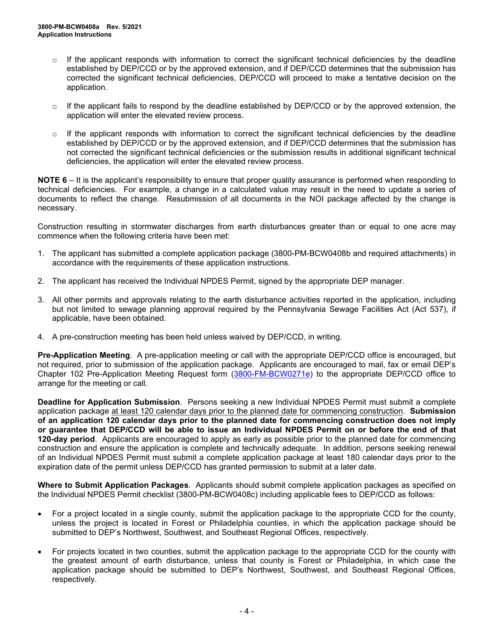- $\circ$  If the applicant responds with information to correct the significant technical deficiencies by the deadline established by DEP/CCD or by the approved extension, and if DEP/CCD determines that the submission has corrected the significant technical deficiencies, DEP/CCD will proceed to make a tentative decision on the application.
- $\circ$  If the applicant fails to respond by the deadline established by DEP/CCD or by the approved extension, the application will enter the elevated review process.
- $\circ$  If the applicant responds with information to correct the significant technical deficiencies by the deadline established by DEP/CCD or by the approved extension, and if DEP/CCD determines that the submission has not corrected the significant technical deficiencies or the submission results in additional significant technical deficiencies, the application will enter the elevated review process.

**NOTE 6** – It is the applicant's responsibility to ensure that proper quality assurance is performed when responding to technical deficiencies. For example, a change in a calculated value may result in the need to update a series of documents to reflect the change. Resubmission of all documents in the NOI package affected by the change is necessary.

Construction resulting in stormwater discharges from earth disturbances greater than or equal to one acre may commence when the following criteria have been met:

- 1. The applicant has submitted a complete application package (3800-PM-BCW0408b and required attachments) in accordance with the requirements of these application instructions.
- 2. The applicant has received the Individual NPDES Permit, signed by the appropriate DEP manager.
- 3. All other permits and approvals relating to the earth disturbance activities reported in the application, including but not limited to sewage planning approval required by the Pennsylvania Sewage Facilities Act (Act 537), if applicable, have been obtained.
- 4. A pre-construction meeting has been held unless waived by DEP/CCD, in writing.

**Pre-Application Meeting**. A pre-application meeting or call with the appropriate DEP/CCD office is encouraged, but not required, prior to submission of the application package. Applicants are encouraged to mail, fax or email DEP's Chapter 102 Pre-Application Meeting Request form [\(3800-FM-BCW0271e\)](http://www.depgreenport.state.pa.us/elibrary/GetFolder?FolderID=2713) to the appropriate DEP/CCD office to arrange for the meeting or call.

**Deadline for Application Submission**. Persons seeking a new Individual NPDES Permit must submit a complete application package at least 120 calendar days prior to the planned date for commencing construction. **Submission of an application 120 calendar days prior to the planned date for commencing construction does not imply or guarantee that DEP/CCD will be able to issue an Individual NPDES Permit on or before the end of that 120-day period**. Applicants are encouraged to apply as early as possible prior to the planned date for commencing construction and ensure the application is complete and technically adequate. In addition, persons seeking renewal of an Individual NPDES Permit must submit a complete application package at least 180 calendar days prior to the expiration date of the permit unless DEP/CCD has granted permission to submit at a later date.

**Where to Submit Application Packages**. Applicants should submit complete application packages as specified on the Individual NPDES Permit checklist (3800-PM-BCW0408c) including applicable fees to DEP/CCD as follows:

- For a project located in a single county, submit the application package to the appropriate CCD for the county, unless the project is located in Forest or Philadelphia counties, in which the application package should be submitted to DEP's Northwest, Southwest, and Southeast Regional Offices, respectively.
- For projects located in two counties, submit the application package to the appropriate CCD for the county with the greatest amount of earth disturbance, unless that county is Forest or Philadelphia, in which case the application package should be submitted to DEP's Northwest, Southwest, and Southeast Regional Offices, respectively.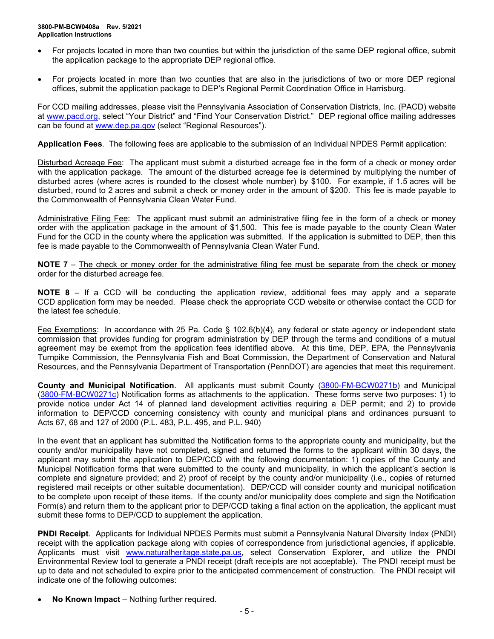- For projects located in more than two counties but within the jurisdiction of the same DEP regional office, submit the application package to the appropriate DEP regional office.
- For projects located in more than two counties that are also in the jurisdictions of two or more DEP regional offices, submit the application package to DEP's Regional Permit Coordination Office in Harrisburg.

For CCD mailing addresses, please visit the Pennsylvania Association of Conservation Districts, Inc. (PACD) website at [www.pacd.org,](http://www.pacd.org/) select "Your District" and "Find Your Conservation District." DEP regional office mailing addresses can be found at [www.dep.pa.gov](http://www.dep.pa.gov/) (select "Regional Resources").

**Application Fees**. The following fees are applicable to the submission of an Individual NPDES Permit application:

Disturbed Acreage Fee: The applicant must submit a disturbed acreage fee in the form of a check or money order with the application package. The amount of the disturbed acreage fee is determined by multiplying the number of disturbed acres (where acres is rounded to the closest whole number) by \$100. For example, if 1.5 acres will be disturbed, round to 2 acres and submit a check or money order in the amount of \$200. This fee is made payable to the Commonwealth of Pennsylvania Clean Water Fund.

Administrative Filing Fee: The applicant must submit an administrative filing fee in the form of a check or money order with the application package in the amount of \$1,500. This fee is made payable to the county Clean Water Fund for the CCD in the county where the application was submitted. If the application is submitted to DEP, then this fee is made payable to the Commonwealth of Pennsylvania Clean Water Fund.

**NOTE** 7 – The check or money order for the administrative filing fee must be separate from the check or money order for the disturbed acreage fee.

**NOTE 8** – If a CCD will be conducting the application review, additional fees may apply and a separate CCD application form may be needed. Please check the appropriate CCD website or otherwise contact the CCD for the latest fee schedule.

Fee Exemptions: In accordance with 25 Pa. Code § 102.6(b)(4), any federal or state agency or independent state commission that provides funding for program administration by DEP through the terms and conditions of a mutual agreement may be exempt from the application fees identified above. At this time, DEP, EPA, the Pennsylvania Turnpike Commission, the Pennsylvania Fish and Boat Commission, the Department of Conservation and Natural Resources, and the Pennsylvania Department of Transportation (PennDOT) are agencies that meet this requirement.

**County and Municipal Notification**. All applicants must submit County [\(3800-FM-BCW0271b\)](http://www.depgreenport.state.pa.us/elibrary/GetFolder?FolderID=2713) and Municipal [\(3800-FM-BCW0271c\)](http://www.depgreenport.state.pa.us/elibrary/GetFolder?FolderID=2713) Notification forms as attachments to the application. These forms serve two purposes: 1) to provide notice under Act 14 of planned land development activities requiring a DEP permit; and 2) to provide information to DEP/CCD concerning consistency with county and municipal plans and ordinances pursuant to Acts 67, 68 and 127 of 2000 (P.L. 483, P.L. 495, and P.L. 940)

In the event that an applicant has submitted the Notification forms to the appropriate county and municipality, but the county and/or municipality have not completed, signed and returned the forms to the applicant within 30 days, the applicant may submit the application to DEP/CCD with the following documentation: 1) copies of the County and Municipal Notification forms that were submitted to the county and municipality, in which the applicant's section is complete and signature provided; and 2) proof of receipt by the county and/or municipality (i.e., copies of returned registered mail receipts or other suitable documentation). DEP/CCD will consider county and municipal notification to be complete upon receipt of these items. If the county and/or municipality does complete and sign the Notification Form(s) and return them to the applicant prior to DEP/CCD taking a final action on the application, the applicant must submit these forms to DEP/CCD to supplement the application.

**PNDI Receipt**. Applicants for Individual NPDES Permits must submit a Pennsylvania Natural Diversity Index (PNDI) receipt with the application package along with copies of correspondence from jurisdictional agencies, if applicable. Applicants must visit [www.naturalheritage.state.pa.us,](http://www.naturalheritage.state.pa.us/) select Conservation Explorer, and utilize the PNDI Environmental Review tool to generate a PNDI receipt (draft receipts are not acceptable). The PNDI receipt must be up to date and not scheduled to expire prior to the anticipated commencement of construction. The PNDI receipt will indicate one of the following outcomes:

• **No Known Impact** – Nothing further required.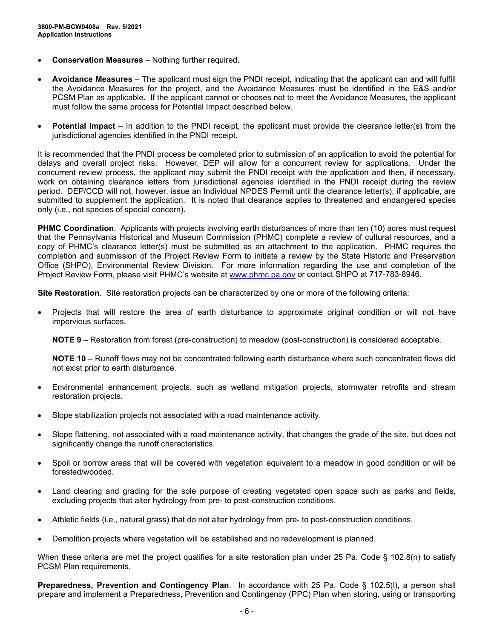- **Conservation Measures** Nothing further required.
- **Avoidance Measures** The applicant must sign the PNDI receipt, indicating that the applicant can and will fulfill the Avoidance Measures for the project, and the Avoidance Measures must be identified in the E&S and/or PCSM Plan as applicable. If the applicant cannot or chooses not to meet the Avoidance Measures, the applicant must follow the same process for Potential Impact described below.
- **Potential Impact** In addition to the PNDI receipt, the applicant must provide the clearance letter(s) from the jurisdictional agencies identified in the PNDI receipt.

It is recommended that the PNDI process be completed prior to submission of an application to avoid the potential for delays and overall project risks. However, DEP will allow for a concurrent review for applications. Under the concurrent review process, the applicant may submit the PNDI receipt with the application and then, if necessary, work on obtaining clearance letters from jurisdictional agencies identified in the PNDI receipt during the review period. DEP/CCD will not, however, issue an Individual NPDES Permit until the clearance letter(s), if applicable, are submitted to supplement the application. It is noted that clearance applies to threatened and endangered species only (i.e., not species of special concern).

**PHMC Coordination**. Applicants with projects involving earth disturbances of more than ten (10) acres must request that the Pennsylvania Historical and Museum Commission (PHMC) complete a review of cultural resources, and a copy of PHMC's clearance letter(s) must be submitted as an attachment to the application. PHMC requires the completion and submission of the Project Review Form to initiate a review by the State Historic and Preservation Office (SHPO), Environmental Review Division. For more information regarding the use and completion of the Project Review Form, please visit PHMC's website at [www.phmc.pa.gov](http://www.phmc.pa.gov/) or contact SHPO at 717-783-8946.

**Site Restoration**. Site restoration projects can be characterized by one or more of the following criteria:

• Projects that will restore the area of earth disturbance to approximate original condition or will not have impervious surfaces.

**NOTE 9** – Restoration from forest (pre-construction) to meadow (post-construction) is considered acceptable.

**NOTE 10** – Runoff flows may not be concentrated following earth disturbance where such concentrated flows did not exist prior to earth disturbance.

- Environmental enhancement projects, such as wetland mitigation projects, stormwater retrofits and stream restoration projects.
- Slope stabilization projects not associated with a road maintenance activity.
- Slope flattening, not associated with a road maintenance activity, that changes the grade of the site, but does not significantly change the runoff characteristics.
- Spoil or borrow areas that will be covered with vegetation equivalent to a meadow in good condition or will be forested/wooded.
- Land clearing and grading for the sole purpose of creating vegetated open space such as parks and fields, excluding projects that alter hydrology from pre- to post-construction conditions.
- Athletic fields (i.e., natural grass) that do not alter hydrology from pre- to post-construction conditions.
- Demolition projects where vegetation will be established and no redevelopment is planned.

When these criteria are met the project qualifies for a site restoration plan under 25 Pa. Code § 102.8(n) to satisfy PCSM Plan requirements.

**Preparedness, Prevention and Contingency Plan**. In accordance with 25 Pa. Code § 102.5(l), a person shall prepare and implement a Preparedness, Prevention and Contingency (PPC) Plan when storing, using or transporting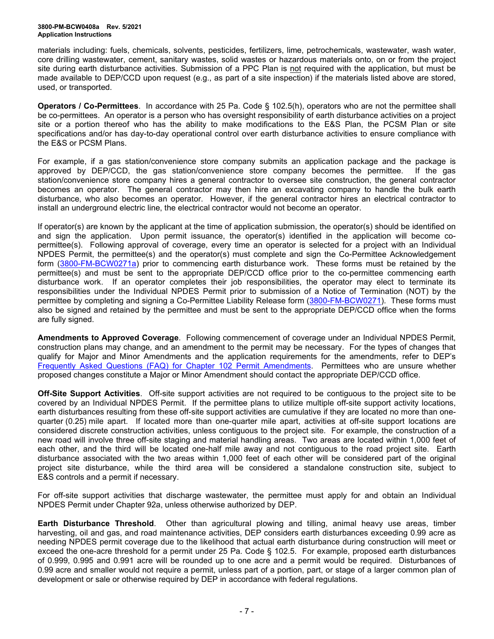#### **3800-PM-BCW0408a Rev. 5/2021 Application Instructions**

materials including: fuels, chemicals, solvents, pesticides, fertilizers, lime, petrochemicals, wastewater, wash water, core drilling wastewater, cement, sanitary wastes, solid wastes or hazardous materials onto, on or from the project site during earth disturbance activities. Submission of a PPC Plan is not required with the application, but must be made available to DEP/CCD upon request (e.g., as part of a site inspection) if the materials listed above are stored, used, or transported.

**Operators / Co-Permittees**. In accordance with 25 Pa. Code § 102.5(h), operators who are not the permittee shall be co-permittees. An operator is a person who has oversight responsibility of earth disturbance activities on a project site or a portion thereof who has the ability to make modifications to the E&S Plan, the PCSM Plan or site specifications and/or has day-to-day operational control over earth disturbance activities to ensure compliance with the E&S or PCSM Plans.

For example, if a gas station/convenience store company submits an application package and the package is approved by DEP/CCD, the gas station/convenience store company becomes the permittee. If the gas station/convenience store company hires a general contractor to oversee site construction, the general contractor becomes an operator. The general contractor may then hire an excavating company to handle the bulk earth disturbance, who also becomes an operator. However, if the general contractor hires an electrical contractor to install an underground electric line, the electrical contractor would not become an operator.

If operator(s) are known by the applicant at the time of application submission, the operator(s) should be identified on and sign the application. Upon permit issuance, the operator(s) identified in the application will become copermittee(s). Following approval of coverage, every time an operator is selected for a project with an Individual NPDES Permit, the permittee(s) and the operator(s) must complete and sign the Co-Permittee Acknowledgement form [\(3800-FM-BCW0271a\)](http://www.depgreenport.state.pa.us/elibrary/GetFolder?FolderID=2713) prior to commencing earth disturbance work. These forms must be retained by the permittee(s) and must be sent to the appropriate DEP/CCD office prior to the co-permittee commencing earth disturbance work. If an operator completes their job responsibilities, the operator may elect to terminate its responsibilities under the Individual NPDES Permit prior to submission of a Notice of Termination (NOT) by the permittee by completing and signing a Co-Permittee Liability Release form [\(3800-FM-BCW0271\)](http://www.depgreenport.state.pa.us/elibrary/GetFolder?FolderID=2713). These forms must also be signed and retained by the permittee and must be sent to the appropriate DEP/CCD office when the forms are fully signed.

**Amendments to Approved Coverage**. Following commencement of coverage under an Individual NPDES Permit, construction plans may change, and an amendment to the permit may be necessary. For the types of changes that qualify for Major and Minor Amendments and the application requirements for the amendments, refer to DEP's [Frequently Asked Questions \(FAQ\) for](http://files.dep.state.pa.us/Water/BPNPSM/StormwaterManagement/ConstructionStormwater/Chapter_102_Permit_Amendments_FAQ.pdf) Chapter 102 Permit Amendments. Permittees who are unsure whether proposed changes constitute a Major or Minor Amendment should contact the appropriate DEP/CCD office.

**Off-Site Support Activities**. Off-site support activities are not required to be contiguous to the project site to be covered by an Individual NPDES Permit. If the permittee plans to utilize multiple off-site support activity locations, earth disturbances resulting from these off-site support activities are cumulative if they are located no more than onequarter (0.25) mile apart. If located more than one-quarter mile apart, activities at off-site support locations are considered discrete construction activities, unless contiguous to the project site. For example, the construction of a new road will involve three off-site staging and material handling areas. Two areas are located within 1,000 feet of each other, and the third will be located one-half mile away and not contiguous to the road project site. Earth disturbance associated with the two areas within 1,000 feet of each other will be considered part of the original project site disturbance, while the third area will be considered a standalone construction site, subject to E&S controls and a permit if necessary.

For off-site support activities that discharge wastewater, the permittee must apply for and obtain an Individual NPDES Permit under Chapter 92a, unless otherwise authorized by DEP.

**Earth Disturbance Threshold**. Other than agricultural plowing and tilling, animal heavy use areas, timber harvesting, oil and gas, and road maintenance activities, DEP considers earth disturbances exceeding 0.99 acre as needing NPDES permit coverage due to the likelihood that actual earth disturbance during construction will meet or exceed the one-acre threshold for a permit under 25 Pa. Code § 102.5. For example, proposed earth disturbances of 0.999, 0.995 and 0.991 acre will be rounded up to one acre and a permit would be required. Disturbances of 0.99 acre and smaller would not require a permit, unless part of a portion, part, or stage of a larger common plan of development or sale or otherwise required by DEP in accordance with federal regulations.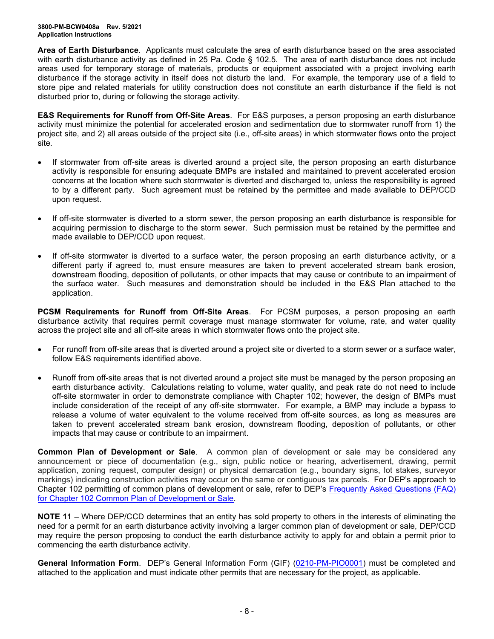**Area of Earth Disturbance**. Applicants must calculate the area of earth disturbance based on the area associated with earth disturbance activity as defined in 25 Pa. Code § 102.5. The area of earth disturbance does not include areas used for temporary storage of materials, products or equipment associated with a project involving earth disturbance if the storage activity in itself does not disturb the land. For example, the temporary use of a field to store pipe and related materials for utility construction does not constitute an earth disturbance if the field is not disturbed prior to, during or following the storage activity.

**E&S Requirements for Runoff from Off-Site Areas**. For E&S purposes, a person proposing an earth disturbance activity must minimize the potential for accelerated erosion and sedimentation due to stormwater runoff from 1) the project site, and 2) all areas outside of the project site (i.e., off-site areas) in which stormwater flows onto the project site.

- If stormwater from off-site areas is diverted around a project site, the person proposing an earth disturbance activity is responsible for ensuring adequate BMPs are installed and maintained to prevent accelerated erosion concerns at the location where such stormwater is diverted and discharged to, unless the responsibility is agreed to by a different party. Such agreement must be retained by the permittee and made available to DEP/CCD upon request.
- If off-site stormwater is diverted to a storm sewer, the person proposing an earth disturbance is responsible for acquiring permission to discharge to the storm sewer. Such permission must be retained by the permittee and made available to DEP/CCD upon request.
- If off-site stormwater is diverted to a surface water, the person proposing an earth disturbance activity, or a different party if agreed to, must ensure measures are taken to prevent accelerated stream bank erosion, downstream flooding, deposition of pollutants, or other impacts that may cause or contribute to an impairment of the surface water. Such measures and demonstration should be included in the E&S Plan attached to the application.

**PCSM Requirements for Runoff from Off-Site Areas**. For PCSM purposes, a person proposing an earth disturbance activity that requires permit coverage must manage stormwater for volume, rate, and water quality across the project site and all off-site areas in which stormwater flows onto the project site.

- For runoff from off-site areas that is diverted around a project site or diverted to a storm sewer or a surface water, follow E&S requirements identified above.
- Runoff from off-site areas that is not diverted around a project site must be managed by the person proposing an earth disturbance activity. Calculations relating to volume, water quality, and peak rate do not need to include off-site stormwater in order to demonstrate compliance with Chapter 102; however, the design of BMPs must include consideration of the receipt of any off-site stormwater. For example, a BMP may include a bypass to release a volume of water equivalent to the volume received from off-site sources, as long as measures are taken to prevent accelerated stream bank erosion, downstream flooding, deposition of pollutants, or other impacts that may cause or contribute to an impairment.

**Common Plan of Development or Sale**. A common plan of development or sale may be considered any announcement or piece of documentation (e.g., sign, public notice or hearing, advertisement, drawing, permit application, zoning request, computer design) or physical demarcation (e.g., boundary signs, lot stakes, surveyor markings) indicating construction activities may occur on the same or contiguous tax parcels. For DEP's approach to Chapter 102 permitting of common plans of development or sale, refer to DEP's [Frequently Asked Questions \(FAQ\)](http://files.dep.state.pa.us/Water/BPNPSM/StormwaterManagement/ConstructionStormwater/Common_Plan_FAQ.pdf)  [for Chapter 102 Common Plan of Development or Sale.](http://files.dep.state.pa.us/Water/BPNPSM/StormwaterManagement/ConstructionStormwater/Common_Plan_FAQ.pdf)

**NOTE 11** – Where DEP/CCD determines that an entity has sold property to others in the interests of eliminating the need for a permit for an earth disturbance activity involving a larger common plan of development or sale, DEP/CCD may require the person proposing to conduct the earth disturbance activity to apply for and obtain a permit prior to commencing the earth disturbance activity.

**General Information Form**. DEP's General Information Form (GIF) [\(0210-PM-PIO0001\)](http://www.depgreenport.state.pa.us/elibrary/GetFolder?FolderID=4743) must be completed and attached to the application and must indicate other permits that are necessary for the project, as applicable.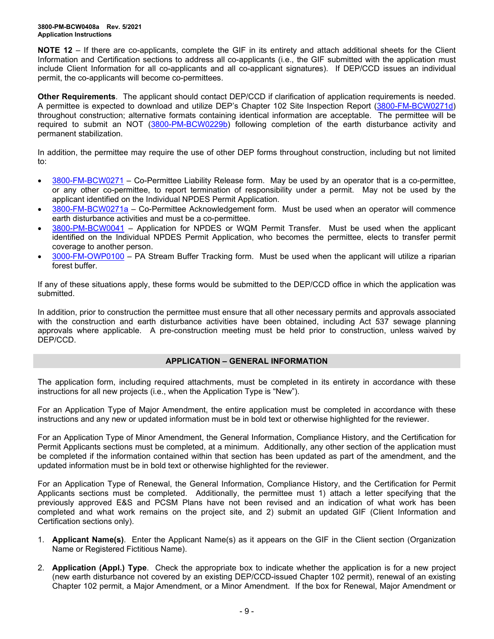**NOTE 12** – If there are co-applicants, complete the GIF in its entirety and attach additional sheets for the Client Information and Certification sections to address all co-applicants (i.e., the GIF submitted with the application must include Client Information for all co-applicants and all co-applicant signatures). If DEP/CCD issues an individual permit, the co-applicants will become co-permittees.

**Other Requirements**. The applicant should contact DEP/CCD if clarification of application requirements is needed. A permittee is expected to download and utilize DEP's Chapter 102 Site Inspection Report [\(3800-FM-BCW0271d\)](http://www.depgreenport.state.pa.us/elibrary/GetFolder?FolderID=2713) throughout construction; alternative formats containing identical information are acceptable. The permittee will be required to submit an NOT [\(3800-PM-BCW0229b\)](http://www.depgreenport.state.pa.us/elibrary/GetFolder?FolderID=3668) following completion of the earth disturbance activity and permanent stabilization.

In addition, the permittee may require the use of other DEP forms throughout construction, including but not limited to:

- [3800-FM-BCW0271](http://www.depgreenport.state.pa.us/elibrary/GetFolder?FolderID=2713) Co-Permittee Liability Release form. May be used by an operator that is a co-permittee, or any other co-permittee, to report termination of responsibility under a permit. May not be used by the applicant identified on the Individual NPDES Permit Application.
- [3800-FM-BCW0271a](http://www.depgreenport.state.pa.us/elibrary/GetFolder?FolderID=2713) Co-Permittee Acknowledgement form. Must be used when an operator will commence earth disturbance activities and must be a co-permittee.
- [3800-PM-BCW0041](http://www.depgreenport.state.pa.us/elibrary/GetFolder?FolderID=3665) Application for NPDES or WQM Permit Transfer. Must be used when the applicant identified on the Individual NPDES Permit Application, who becomes the permittee, elects to transfer permit coverage to another person.
- [3000-FM-OWP0100](http://www.depgreenport.state.pa.us/elibrary/GetDocument?docId=1445675&DocName=PA%20STREAM%20BUFFER%20TRACKING%20FORM.PDF%20%20%3Cspan%20style%3D%22color%3Agreen%3B%22%3E%3C%2Fspan%3E%20%3Cspan%20style%3D%22color%3Ablue%3B%22%3E%3C%2Fspan%3E) PA Stream Buffer Tracking form. Must be used when the applicant will utilize a riparian forest buffer.

If any of these situations apply, these forms would be submitted to the DEP/CCD office in which the application was submitted.

In addition, prior to construction the permittee must ensure that all other necessary permits and approvals associated with the construction and earth disturbance activities have been obtained, including Act 537 sewage planning approvals where applicable. A pre-construction meeting must be held prior to construction, unless waived by DEP/CCD.

## **APPLICATION – GENERAL INFORMATION**

The application form, including required attachments, must be completed in its entirety in accordance with these instructions for all new projects (i.e., when the Application Type is "New").

For an Application Type of Major Amendment, the entire application must be completed in accordance with these instructions and any new or updated information must be in bold text or otherwise highlighted for the reviewer.

For an Application Type of Minor Amendment, the General Information, Compliance History, and the Certification for Permit Applicants sections must be completed, at a minimum. Additionally, any other section of the application must be completed if the information contained within that section has been updated as part of the amendment, and the updated information must be in bold text or otherwise highlighted for the reviewer.

For an Application Type of Renewal, the General Information, Compliance History, and the Certification for Permit Applicants sections must be completed. Additionally, the permittee must 1) attach a letter specifying that the previously approved E&S and PCSM Plans have not been revised and an indication of what work has been completed and what work remains on the project site, and 2) submit an updated GIF (Client Information and Certification sections only).

- 1. **Applicant Name(s)**. Enter the Applicant Name(s) as it appears on the GIF in the Client section (Organization Name or Registered Fictitious Name).
- 2. **Application (Appl.) Type**. Check the appropriate box to indicate whether the application is for a new project (new earth disturbance not covered by an existing DEP/CCD-issued Chapter 102 permit), renewal of an existing Chapter 102 permit, a Major Amendment, or a Minor Amendment. If the box for Renewal, Major Amendment or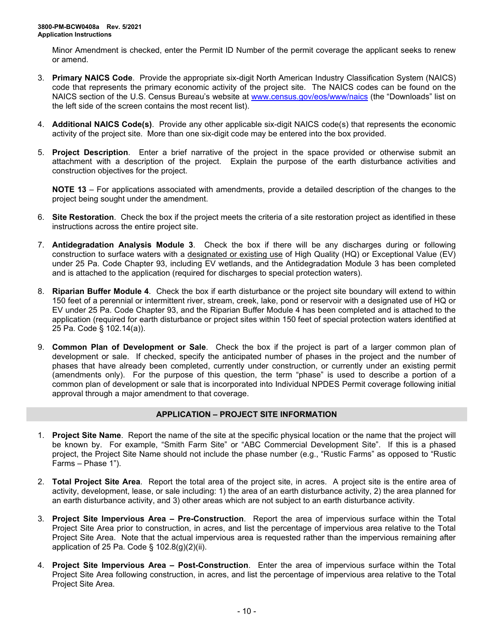Minor Amendment is checked, enter the Permit ID Number of the permit coverage the applicant seeks to renew or amend.

- 3. **Primary NAICS Code**. Provide the appropriate six-digit North American Industry Classification System (NAICS) code that represents the primary economic activity of the project site. The NAICS codes can be found on the NAICS section of the U.S. Census Bureau's website at [www.census.gov/eos/www/naics](http://www.census.gov/eos/www/naics) (the "Downloads" list on the left side of the screen contains the most recent list).
- 4. **Additional NAICS Code(s)**. Provide any other applicable six-digit NAICS code(s) that represents the economic activity of the project site. More than one six-digit code may be entered into the box provided.
- 5. **Project Description**. Enter a brief narrative of the project in the space provided or otherwise submit an attachment with a description of the project. Explain the purpose of the earth disturbance activities and construction objectives for the project.

**NOTE 13** – For applications associated with amendments, provide a detailed description of the changes to the project being sought under the amendment.

- 6. **Site Restoration**. Check the box if the project meets the criteria of a site restoration project as identified in these instructions across the entire project site.
- 7. **Antidegradation Analysis Module 3**. Check the box if there will be any discharges during or following construction to surface waters with a designated or existing use of High Quality (HQ) or Exceptional Value (EV) under 25 Pa. Code Chapter 93, including EV wetlands, and the Antidegradation Module 3 has been completed and is attached to the application (required for discharges to special protection waters).
- 8. **Riparian Buffer Module 4**. Check the box if earth disturbance or the project site boundary will extend to within 150 feet of a perennial or intermittent river, stream, creek, lake, pond or reservoir with a designated use of HQ or EV under 25 Pa. Code Chapter 93, and the Riparian Buffer Module 4 has been completed and is attached to the application (required for earth disturbance or project sites within 150 feet of special protection waters identified at 25 Pa. Code § 102.14(a)).
- 9. **Common Plan of Development or Sale**. Check the box if the project is part of a larger common plan of development or sale. If checked, specify the anticipated number of phases in the project and the number of phases that have already been completed, currently under construction, or currently under an existing permit (amendments only). For the purpose of this question, the term "phase" is used to describe a portion of a common plan of development or sale that is incorporated into Individual NPDES Permit coverage following initial approval through a major amendment to that coverage.

## **APPLICATION – PROJECT SITE INFORMATION**

- 1. **Project Site Name**. Report the name of the site at the specific physical location or the name that the project will be known by. For example, "Smith Farm Site" or "ABC Commercial Development Site". If this is a phased project, the Project Site Name should not include the phase number (e.g., "Rustic Farms" as opposed to "Rustic Farms – Phase 1").
- 2. **Total Project Site Area**. Report the total area of the project site, in acres. A project site is the entire area of activity, development, lease, or sale including: 1) the area of an earth disturbance activity, 2) the area planned for an earth disturbance activity, and 3) other areas which are not subject to an earth disturbance activity.
- 3. **Project Site Impervious Area – Pre-Construction**. Report the area of impervious surface within the Total Project Site Area prior to construction, in acres, and list the percentage of impervious area relative to the Total Project Site Area. Note that the actual impervious area is requested rather than the impervious remaining after application of 25 Pa. Code § 102.8(g)(2)(ii).
- 4. **Project Site Impervious Area – Post-Construction**. Enter the area of impervious surface within the Total Project Site Area following construction, in acres, and list the percentage of impervious area relative to the Total Project Site Area.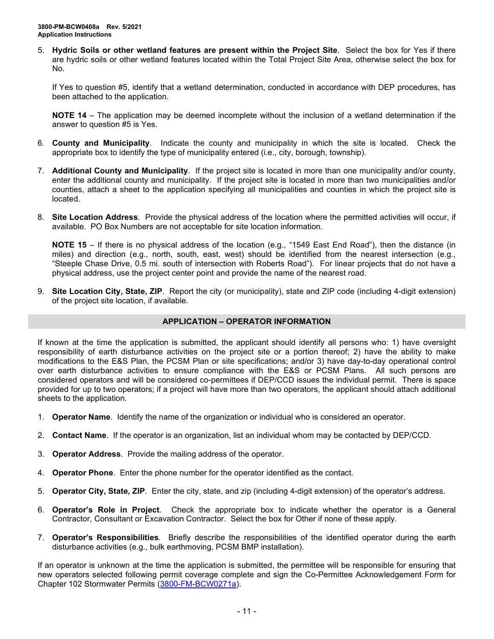5. **Hydric Soils or other wetland features are present within the Project Site**. Select the box for Yes if there are hydric soils or other wetland features located within the Total Project Site Area, otherwise select the box for No.

If Yes to question #5, identify that a wetland determination, conducted in accordance with DEP procedures, has been attached to the application.

**NOTE 14** – The application may be deemed incomplete without the inclusion of a wetland determination if the answer to question #5 is Yes.

- 6. **County and Municipality**. Indicate the county and municipality in which the site is located. Check the appropriate box to identify the type of municipality entered (i.e., city, borough, township).
- 7. **Additional County and Municipality**. If the project site is located in more than one municipality and/or county, enter the additional county and municipality. If the project site is located in more than two municipalities and/or counties, attach a sheet to the application specifying all municipalities and counties in which the project site is located.
- 8. **Site Location Address**. Provide the physical address of the location where the permitted activities will occur, if available. PO Box Numbers are not acceptable for site location information.

**NOTE 15** – If there is no physical address of the location (e.g., "1549 East End Road"), then the distance (in miles) and direction (e.g., north, south, east, west) should be identified from the nearest intersection (e.g., "Steeple Chase Drive, 0.5 mi. south of intersection with Roberts Road"). For linear projects that do not have a physical address, use the project center point and provide the name of the nearest road.

9. **Site Location City, State, ZIP**. Report the city (or municipality), state and ZIP code (including 4-digit extension) of the project site location, if available.

## **APPLICATION – OPERATOR INFORMATION**

If known at the time the application is submitted, the applicant should identify all persons who: 1) have oversight responsibility of earth disturbance activities on the project site or a portion thereof; 2) have the ability to make modifications to the E&S Plan, the PCSM Plan or site specifications; and/or 3) have day-to-day operational control over earth disturbance activities to ensure compliance with the E&S or PCSM Plans. All such persons are considered operators and will be considered co-permittees if DEP/CCD issues the individual permit. There is space provided for up to two operators; if a project will have more than two operators, the applicant should attach additional sheets to the application.

- 1. **Operator Name**. Identify the name of the organization or individual who is considered an operator.
- 2. **Contact Name**. If the operator is an organization, list an individual whom may be contacted by DEP/CCD.
- 3. **Operator Address**. Provide the mailing address of the operator.
- 4. **Operator Phone**. Enter the phone number for the operator identified as the contact.
- 5. **Operator City, State, ZIP**. Enter the city, state, and zip (including 4-digit extension) of the operator's address.
- 6. **Operator's Role in Project**. Check the appropriate box to indicate whether the operator is a General Contractor, Consultant or Excavation Contractor. Select the box for Other if none of these apply.
- 7. **Operator's Responsibilities**. Briefly describe the responsibilities of the identified operator during the earth disturbance activities (e.g., bulk earthmoving, PCSM BMP installation).

If an operator is unknown at the time the application is submitted, the permittee will be responsible for ensuring that new operators selected following permit coverage complete and sign the Co-Permittee Acknowledgement Form for Chapter 102 Stormwater Permits [\(3800-FM-BCW0271a\)](http://www.depgreenport.state.pa.us/elibrary/GetFolder?FolderID=2713).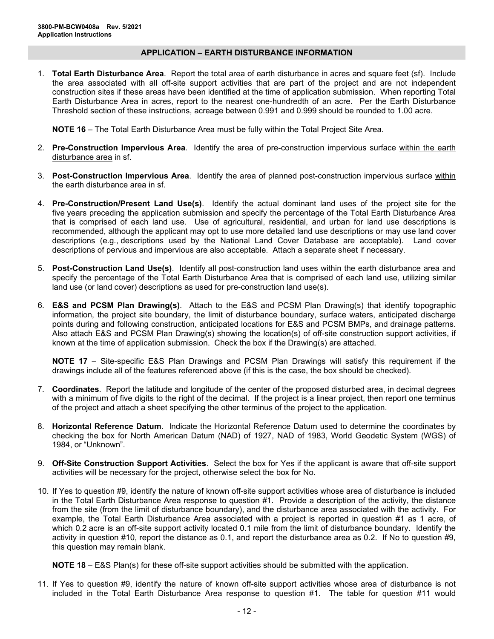## **APPLICATION – EARTH DISTURBANCE INFORMATION**

1. **Total Earth Disturbance Area**. Report the total area of earth disturbance in acres and square feet (sf). Include the area associated with all off-site support activities that are part of the project and are not independent construction sites if these areas have been identified at the time of application submission. When reporting Total Earth Disturbance Area in acres, report to the nearest one-hundredth of an acre. Per the Earth Disturbance Threshold section of these instructions, acreage between 0.991 and 0.999 should be rounded to 1.00 acre.

**NOTE 16** – The Total Earth Disturbance Area must be fully within the Total Project Site Area.

- 2. **Pre-Construction Impervious Area**. Identify the area of pre-construction impervious surface within the earth disturbance area in sf.
- 3. **Post-Construction Impervious Area**. Identify the area of planned post-construction impervious surface within the earth disturbance area in sf.
- 4. **Pre-Construction/Present Land Use(s)**. Identify the actual dominant land uses of the project site for the five years preceding the application submission and specify the percentage of the Total Earth Disturbance Area that is comprised of each land use. Use of agricultural, residential, and urban for land use descriptions is recommended, although the applicant may opt to use more detailed land use descriptions or may use land cover descriptions (e.g., descriptions used by the National Land Cover Database are acceptable). Land cover descriptions of pervious and impervious are also acceptable. Attach a separate sheet if necessary.
- 5. **Post-Construction Land Use(s)**. Identify all post-construction land uses within the earth disturbance area and specify the percentage of the Total Earth Disturbance Area that is comprised of each land use, utilizing similar land use (or land cover) descriptions as used for pre-construction land use(s).
- 6. **E&S and PCSM Plan Drawing(s)**. Attach to the E&S and PCSM Plan Drawing(s) that identify topographic information, the project site boundary, the limit of disturbance boundary, surface waters, anticipated discharge points during and following construction, anticipated locations for E&S and PCSM BMPs, and drainage patterns. Also attach E&S and PCSM Plan Drawing(s) showing the location(s) of off-site construction support activities, if known at the time of application submission. Check the box if the Drawing(s) are attached.

**NOTE 17** – Site-specific E&S Plan Drawings and PCSM Plan Drawings will satisfy this requirement if the drawings include all of the features referenced above (if this is the case, the box should be checked).

- 7. **Coordinates**. Report the latitude and longitude of the center of the proposed disturbed area, in decimal degrees with a minimum of five digits to the right of the decimal. If the project is a linear project, then report one terminus of the project and attach a sheet specifying the other terminus of the project to the application.
- 8. **Horizontal Reference Datum**. Indicate the Horizontal Reference Datum used to determine the coordinates by checking the box for North American Datum (NAD) of 1927, NAD of 1983, World Geodetic System (WGS) of 1984, or "Unknown".
- 9. **Off-Site Construction Support Activities**. Select the box for Yes if the applicant is aware that off-site support activities will be necessary for the project, otherwise select the box for No.
- 10. If Yes to question #9, identify the nature of known off-site support activities whose area of disturbance is included in the Total Earth Disturbance Area response to question #1. Provide a description of the activity, the distance from the site (from the limit of disturbance boundary), and the disturbance area associated with the activity. For example, the Total Earth Disturbance Area associated with a project is reported in question #1 as 1 acre, of which 0.2 acre is an off-site support activity located 0.1 mile from the limit of disturbance boundary. Identify the activity in question #10, report the distance as 0.1, and report the disturbance area as 0.2. If No to question #9, this question may remain blank.

**NOTE 18** – E&S Plan(s) for these off-site support activities should be submitted with the application.

11. If Yes to question #9, identify the nature of known off-site support activities whose area of disturbance is not included in the Total Earth Disturbance Area response to question #1. The table for question #11 would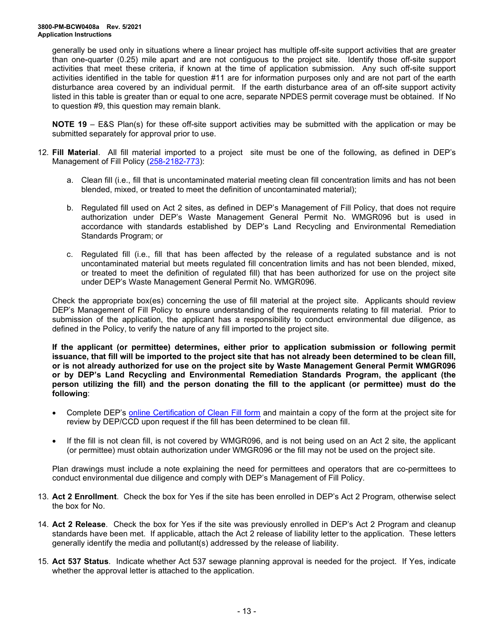generally be used only in situations where a linear project has multiple off-site support activities that are greater than one-quarter (0.25) mile apart and are not contiguous to the project site. Identify those off-site support activities that meet these criteria, if known at the time of application submission. Any such off-site support activities identified in the table for question #11 are for information purposes only and are not part of the earth disturbance area covered by an individual permit. If the earth disturbance area of an off-site support activity listed in this table is greater than or equal to one acre, separate NPDES permit coverage must be obtained. If No to question #9, this question may remain blank.

**NOTE 19** – E&S Plan(s) for these off-site support activities may be submitted with the application or may be submitted separately for approval prior to use.

- 12. **Fill Material**. All fill material imported to a project site must be one of the following, as defined in DEP's Management of Fill Policy [\(258-2182-773\)](http://www.depgreenport.state.pa.us/elibrary/GetFolder?FolderID=4647):
	- a. Clean fill (i.e., fill that is uncontaminated material meeting clean fill concentration limits and has not been blended, mixed, or treated to meet the definition of uncontaminated material);
	- b. Regulated fill used on Act 2 sites, as defined in DEP's Management of Fill Policy, that does not require authorization under DEP's Waste Management General Permit No. WMGR096 but is used in accordance with standards established by DEP's Land Recycling and Environmental Remediation Standards Program; or
	- c. Regulated fill (i.e., fill that has been affected by the release of a regulated substance and is not uncontaminated material but meets regulated fill concentration limits and has not been blended, mixed, or treated to meet the definition of regulated fill) that has been authorized for use on the project site under DEP's Waste Management General Permit No. WMGR096.

Check the appropriate box(es) concerning the use of fill material at the project site. Applicants should review DEP's Management of Fill Policy to ensure understanding of the requirements relating to fill material. Prior to submission of the application, the applicant has a responsibility to conduct environmental due diligence, as defined in the Policy, to verify the nature of any fill imported to the project site.

**If the applicant (or permittee) determines, either prior to application submission or following permit issuance, that fill will be imported to the project site that has not already been determined to be clean fill, or is not already authorized for use on the project site by Waste Management General Permit WMGR096 or by DEP's Land Recycling and Environmental Remediation Standards Program, the applicant (the person utilizing the fill) and the person donating the fill to the applicant (or permittee) must do the following**:

- Complete DEP's [online Certification of Clean Fill form](http://www.depgreenport.state.pa.us/CleanFill) and maintain a copy of the form at the project site for review by DEP/CCD upon request if the fill has been determined to be clean fill.
- If the fill is not clean fill, is not covered by WMGR096, and is not being used on an Act 2 site, the applicant (or permittee) must obtain authorization under WMGR096 or the fill may not be used on the project site.

Plan drawings must include a note explaining the need for permittees and operators that are co-permittees to conduct environmental due diligence and comply with DEP's Management of Fill Policy.

- 13. **Act 2 Enrollment**. Check the box for Yes if the site has been enrolled in DEP's Act 2 Program, otherwise select the box for No.
- 14. **Act 2 Release**. Check the box for Yes if the site was previously enrolled in DEP's Act 2 Program and cleanup standards have been met. If applicable, attach the Act 2 release of liability letter to the application. These letters generally identify the media and pollutant(s) addressed by the release of liability.
- 15. **Act 537 Status**. Indicate whether Act 537 sewage planning approval is needed for the project. If Yes, indicate whether the approval letter is attached to the application.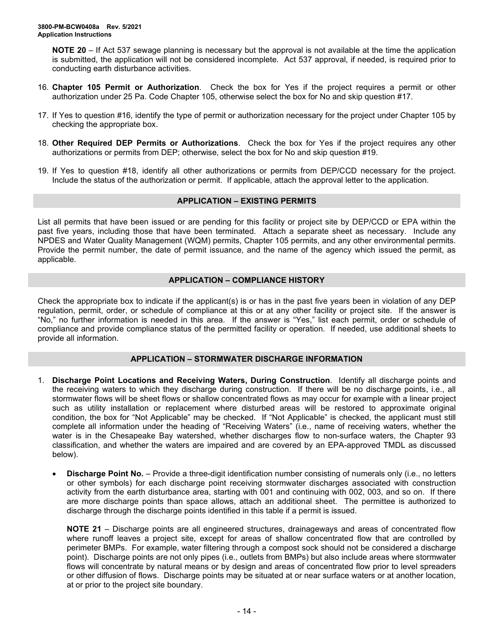**NOTE 20** – If Act 537 sewage planning is necessary but the approval is not available at the time the application is submitted, the application will not be considered incomplete. Act 537 approval, if needed, is required prior to conducting earth disturbance activities.

- 16. **Chapter 105 Permit or Authorization**. Check the box for Yes if the project requires a permit or other authorization under 25 Pa. Code Chapter 105, otherwise select the box for No and skip question #17.
- 17. If Yes to question #16, identify the type of permit or authorization necessary for the project under Chapter 105 by checking the appropriate box.
- 18. **Other Required DEP Permits or Authorizations**. Check the box for Yes if the project requires any other authorizations or permits from DEP; otherwise, select the box for No and skip question #19.
- 19. If Yes to question #18, identify all other authorizations or permits from DEP/CCD necessary for the project. Include the status of the authorization or permit. If applicable, attach the approval letter to the application.

### **APPLICATION – EXISTING PERMITS**

List all permits that have been issued or are pending for this facility or project site by DEP/CCD or EPA within the past five years, including those that have been terminated. Attach a separate sheet as necessary. Include any NPDES and Water Quality Management (WQM) permits, Chapter 105 permits, and any other environmental permits. Provide the permit number, the date of permit issuance, and the name of the agency which issued the permit, as applicable.

## **APPLICATION – COMPLIANCE HISTORY**

Check the appropriate box to indicate if the applicant(s) is or has in the past five years been in violation of any DEP regulation, permit, order, or schedule of compliance at this or at any other facility or project site. If the answer is "No," no further information is needed in this area. If the answer is "Yes," list each permit, order or schedule of compliance and provide compliance status of the permitted facility or operation. If needed, use additional sheets to provide all information.

## **APPLICATION – STORMWATER DISCHARGE INFORMATION**

- 1. **Discharge Point Locations and Receiving Waters, During Construction**. Identify all discharge points and the receiving waters to which they discharge during construction. If there will be no discharge points, i.e., all stormwater flows will be sheet flows or shallow concentrated flows as may occur for example with a linear project such as utility installation or replacement where disturbed areas will be restored to approximate original condition, the box for "Not Applicable" may be checked. If "Not Applicable" is checked, the applicant must still complete all information under the heading of "Receiving Waters" (i.e., name of receiving waters, whether the water is in the Chesapeake Bay watershed, whether discharges flow to non-surface waters, the Chapter 93 classification, and whether the waters are impaired and are covered by an EPA-approved TMDL as discussed below).
	- **Discharge Point No.** Provide a three-digit identification number consisting of numerals only (i.e., no letters or other symbols) for each discharge point receiving stormwater discharges associated with construction activity from the earth disturbance area, starting with 001 and continuing with 002, 003, and so on. If there are more discharge points than space allows, attach an additional sheet. The permittee is authorized to discharge through the discharge points identified in this table if a permit is issued.

**NOTE 21** – Discharge points are all engineered structures, drainageways and areas of concentrated flow where runoff leaves a project site, except for areas of shallow concentrated flow that are controlled by perimeter BMPs. For example, water filtering through a compost sock should not be considered a discharge point). Discharge points are not only pipes (i.e., outlets from BMPs) but also include areas where stormwater flows will concentrate by natural means or by design and areas of concentrated flow prior to level spreaders or other diffusion of flows. Discharge points may be situated at or near surface waters or at another location, at or prior to the project site boundary.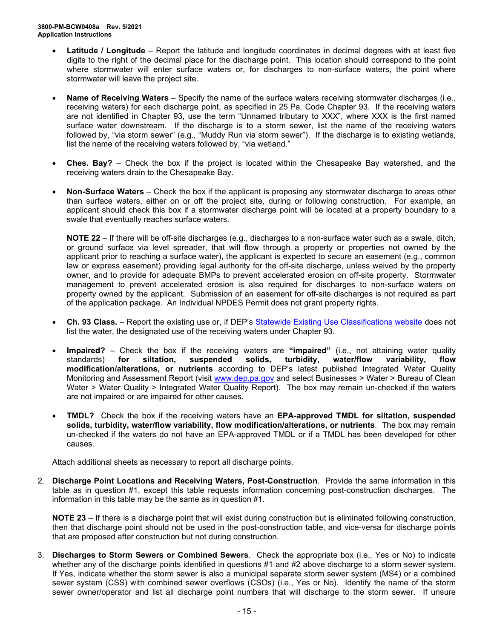- **Latitude / Longitude** Report the latitude and longitude coordinates in decimal degrees with at least five digits to the right of the decimal place for the discharge point. This location should correspond to the point where stormwater will enter surface waters or, for discharges to non-surface waters, the point where stormwater will leave the project site.
- **Name of Receiving Waters**  Specify the name of the surface waters receiving stormwater discharges (i.e., receiving waters) for each discharge point, as specified in 25 Pa. Code Chapter 93. If the receiving waters are not identified in Chapter 93, use the term "Unnamed tributary to XXX", where XXX is the first named surface water downstream. If the discharge is to a storm sewer, list the name of the receiving waters followed by, "via storm sewer" (e.g., "Muddy Run via storm sewer"). If the discharge is to existing wetlands, list the name of the receiving waters followed by, "via wetland."
- **Ches. Bay?** Check the box if the project is located within the Chesapeake Bay watershed, and the receiving waters drain to the Chesapeake Bay.
- **Non-Surface Waters** Check the box if the applicant is proposing any stormwater discharge to areas other than surface waters, either on or off the project site, during or following construction. For example, an applicant should check this box if a stormwater discharge point will be located at a property boundary to a swale that eventually reaches surface waters.

**NOTE 22** – If there will be off-site discharges (e.g., discharges to a non-surface water such as a swale, ditch, or ground surface via level spreader, that will flow through a property or properties not owned by the applicant prior to reaching a surface water), the applicant is expected to secure an easement (e.g., common law or express easement) providing legal authority for the off-site discharge, unless waived by the property owner, and to provide for adequate BMPs to prevent accelerated erosion on off-site property. Stormwater management to prevent accelerated erosion is also required for discharges to non-surface waters on property owned by the applicant. Submission of an easement for off-site discharges is not required as part of the application package. An Individual NPDES Permit does not grant property rights.

- **Ch. 93 Class.** Report the existing use or, if DEP's [Statewide Existing Use](https://www.dep.pa.gov/Business/Water/CleanWater/WaterQuality/StreamRedesignations/Pages/Statewide-Existing-Use-Classifications.aspx) Classifications website does not list the water, the designated use of the receiving waters under Chapter 93.
- **Impaired?** Check the box if the receiving waters are "impaired" (i.e., not attaining water quality standards) for siltation, suspended solids, turbidity, water/flow variability, flow standards) **for siltation, suspended solids, turbidity, water/flow variability, flow modification/alterations, or nutrients** according to DEP's latest published Integrated Water Quality Monitoring and Assessment Report (visit [www.dep.pa.gov](http://www.dep.pa.gov/) and select Businesses > Water > Bureau of Clean Water > Water Quality > Integrated Water Quality Report). The box may remain un-checked if the waters are not impaired or are impaired for other causes.
- **TMDL?** Check the box if the receiving waters have an **EPA-approved TMDL for siltation, suspended solids, turbidity, water/flow variability, flow modification/alterations, or nutrients**. The box may remain un-checked if the waters do not have an EPA-approved TMDL or if a TMDL has been developed for other causes.

Attach additional sheets as necessary to report all discharge points.

2. **Discharge Point Locations and Receiving Waters, Post-Construction**. Provide the same information in this table as in question #1, except this table requests information concerning post-construction discharges. The information in this table may be the same as in question #1.

**NOTE 23** – If there is a discharge point that will exist during construction but is eliminated following construction, then that discharge point should not be used in the post-construction table, and vice-versa for discharge points that are proposed after construction but not during construction.

3. **Discharges to Storm Sewers or Combined Sewers**. Check the appropriate box (i.e., Yes or No) to indicate whether any of the discharge points identified in questions #1 and #2 above discharge to a storm sewer system. If Yes, indicate whether the storm sewer is also a municipal separate storm sewer system (MS4) or a combined sewer system (CSS) with combined sewer overflows (CSOs) (i.e., Yes or No). Identify the name of the storm sewer owner/operator and list all discharge point numbers that will discharge to the storm sewer. If unsure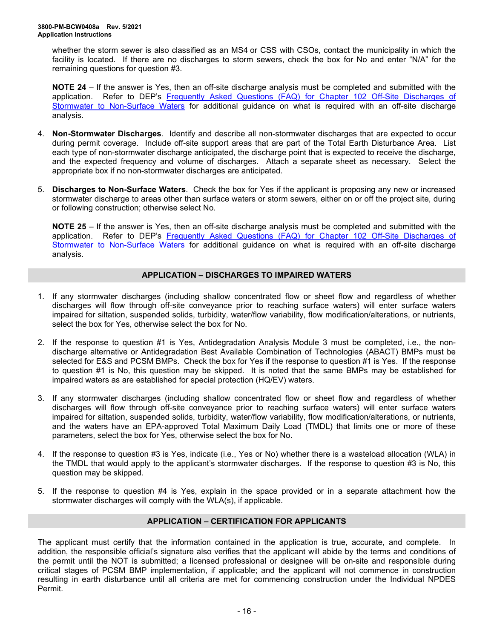whether the storm sewer is also classified as an MS4 or CSS with CSOs, contact the municipality in which the facility is located. If there are no discharges to storm sewers, check the box for No and enter "N/A" for the remaining questions for question #3.

**NOTE 24** – If the answer is Yes, then an off-site discharge analysis must be completed and submitted with the application. Refer to DEP's [Frequently Asked Questions \(FAQ\) for Chapter 102 Off-Site Discharges of](http://files.dep.state.pa.us/Water/BPNPSM/StormwaterManagement/ConstructionStormwater/Off-Site_Discharges_FAQ.pdf) [Stormwater to Non-Surface Waters](http://files.dep.state.pa.us/Water/BPNPSM/StormwaterManagement/ConstructionStormwater/Off-Site_Discharges_FAQ.pdf) for additional guidance on what is required with an off-site discharge analysis.

- 4. **Non-Stormwater Discharges**. Identify and describe all non-stormwater discharges that are expected to occur during permit coverage. Include off-site support areas that are part of the Total Earth Disturbance Area. List each type of non-stormwater discharge anticipated, the discharge point that is expected to receive the discharge, and the expected frequency and volume of discharges. Attach a separate sheet as necessary. Select the appropriate box if no non-stormwater discharges are anticipated.
- 5. **Discharges to Non-Surface Waters**. Check the box for Yes if the applicant is proposing any new or increased stormwater discharge to areas other than surface waters or storm sewers, either on or off the project site, during or following construction; otherwise select No.

**NOTE 25** – If the answer is Yes, then an off-site discharge analysis must be completed and submitted with the application. Refer to DEP's Frequently Asked Questions (FAQ) for Chapter 102 Off-Site Discharges of [Stormwater to Non-Surface Waters](http://files.dep.state.pa.us/Water/BPNPSM/StormwaterManagement/ConstructionStormwater/Off-Site_Discharges_FAQ.pdf) for additional guidance on what is required with an off-site discharge analysis.

## **APPLICATION – DISCHARGES TO IMPAIRED WATERS**

- 1. If any stormwater discharges (including shallow concentrated flow or sheet flow and regardless of whether discharges will flow through off-site conveyance prior to reaching surface waters) will enter surface waters impaired for siltation, suspended solids, turbidity, water/flow variability, flow modification/alterations, or nutrients, select the box for Yes, otherwise select the box for No.
- 2. If the response to question #1 is Yes, Antidegradation Analysis Module 3 must be completed, i.e., the nondischarge alternative or Antidegradation Best Available Combination of Technologies (ABACT) BMPs must be selected for E&S and PCSM BMPs. Check the box for Yes if the response to question #1 is Yes. If the response to question #1 is No, this question may be skipped. It is noted that the same BMPs may be established for impaired waters as are established for special protection (HQ/EV) waters.
- 3. If any stormwater discharges (including shallow concentrated flow or sheet flow and regardless of whether discharges will flow through off-site conveyance prior to reaching surface waters) will enter surface waters impaired for siltation, suspended solids, turbidity, water/flow variability, flow modification/alterations, or nutrients, and the waters have an EPA-approved Total Maximum Daily Load (TMDL) that limits one or more of these parameters, select the box for Yes, otherwise select the box for No.
- 4. If the response to question #3 is Yes, indicate (i.e., Yes or No) whether there is a wasteload allocation (WLA) in the TMDL that would apply to the applicant's stormwater discharges. If the response to question #3 is No, this question may be skipped.
- 5. If the response to question #4 is Yes, explain in the space provided or in a separate attachment how the stormwater discharges will comply with the WLA(s), if applicable.

## **APPLICATION – CERTIFICATION FOR APPLICANTS**

The applicant must certify that the information contained in the application is true, accurate, and complete. In addition, the responsible official's signature also verifies that the applicant will abide by the terms and conditions of the permit until the NOT is submitted; a licensed professional or designee will be on-site and responsible during critical stages of PCSM BMP implementation, if applicable; and the applicant will not commence in construction resulting in earth disturbance until all criteria are met for commencing construction under the Individual NPDES Permit.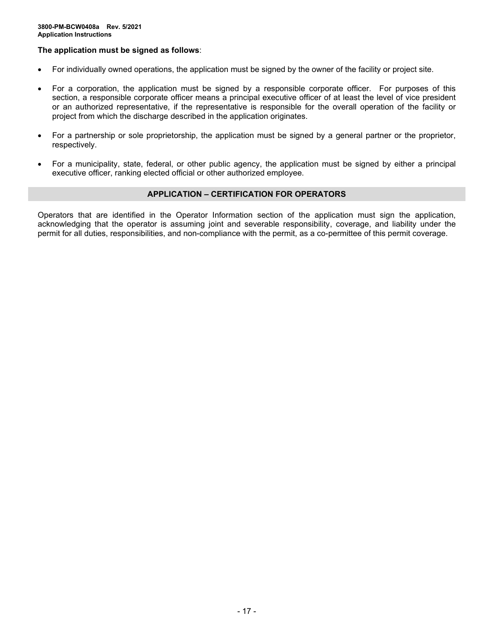## **The application must be signed as follows**:

- For individually owned operations, the application must be signed by the owner of the facility or project site.
- For a corporation, the application must be signed by a responsible corporate officer. For purposes of this section, a responsible corporate officer means a principal executive officer of at least the level of vice president or an authorized representative, if the representative is responsible for the overall operation of the facility or project from which the discharge described in the application originates.
- For a partnership or sole proprietorship, the application must be signed by a general partner or the proprietor, respectively.
- For a municipality, state, federal, or other public agency, the application must be signed by either a principal executive officer, ranking elected official or other authorized employee.

#### **APPLICATION – CERTIFICATION FOR OPERATORS**

Operators that are identified in the Operator Information section of the application must sign the application, acknowledging that the operator is assuming joint and severable responsibility, coverage, and liability under the permit for all duties, responsibilities, and non-compliance with the permit, as a co-permittee of this permit coverage.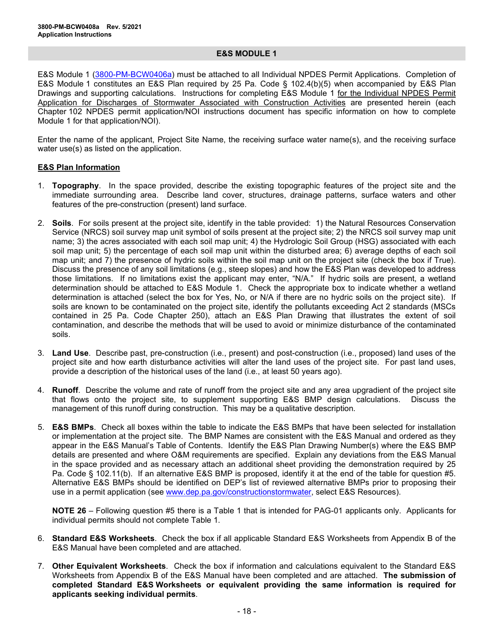#### **E&S MODULE 1**

E&S Module 1 [\(3800-PM-BCW0406a\)](http://www.depgreenport.state.pa.us/elibrary/GetFolder?FolderID=105480) must be attached to all Individual NPDES Permit Applications. Completion of E&S Module 1 constitutes an E&S Plan required by 25 Pa. Code § 102.4(b)(5) when accompanied by E&S Plan Drawings and supporting calculations. Instructions for completing E&S Module 1 for the Individual NPDES Permit Application for Discharges of Stormwater Associated with Construction Activities are presented herein (each Chapter 102 NPDES permit application/NOI instructions document has specific information on how to complete Module 1 for that application/NOI).

Enter the name of the applicant, Project Site Name, the receiving surface water name(s), and the receiving surface water use(s) as listed on the application.

### **E&S Plan Information**

- 1. **Topography**. In the space provided, describe the existing topographic features of the project site and the immediate surrounding area. Describe land cover, structures, drainage patterns, surface waters and other features of the pre-construction (present) land surface.
- 2. **Soils**. For soils present at the project site, identify in the table provided: 1) the Natural Resources Conservation Service (NRCS) soil survey map unit symbol of soils present at the project site; 2) the NRCS soil survey map unit name; 3) the acres associated with each soil map unit; 4) the Hydrologic Soil Group (HSG) associated with each soil map unit; 5) the percentage of each soil map unit within the disturbed area; 6) average depths of each soil map unit; and 7) the presence of hydric soils within the soil map unit on the project site (check the box if True). Discuss the presence of any soil limitations (e.g., steep slopes) and how the E&S Plan was developed to address those limitations. If no limitations exist the applicant may enter, "N/A." If hydric soils are present, a wetland determination should be attached to E&S Module 1. Check the appropriate box to indicate whether a wetland determination is attached (select the box for Yes, No, or N/A if there are no hydric soils on the project site). If soils are known to be contaminated on the project site, identify the pollutants exceeding Act 2 standards (MSCs contained in 25 Pa. Code Chapter 250), attach an E&S Plan Drawing that illustrates the extent of soil contamination, and describe the methods that will be used to avoid or minimize disturbance of the contaminated soils.
- 3. **Land Use**. Describe past, pre-construction (i.e., present) and post-construction (i.e., proposed) land uses of the project site and how earth disturbance activities will alter the land uses of the project site. For past land uses, provide a description of the historical uses of the land (i.e., at least 50 years ago).
- 4. **Runoff**. Describe the volume and rate of runoff from the project site and any area upgradient of the project site that flows onto the project site, to supplement supporting E&S BMP design calculations. Discuss the management of this runoff during construction. This may be a qualitative description.
- 5. **E&S BMPs**. Check all boxes within the table to indicate the E&S BMPs that have been selected for installation or implementation at the project site. The BMP Names are consistent with the E&S Manual and ordered as they appear in the E&S Manual's Table of Contents. Identify the E&S Plan Drawing Number(s) where the E&S BMP details are presented and where O&M requirements are specified. Explain any deviations from the E&S Manual in the space provided and as necessary attach an additional sheet providing the demonstration required by 25 Pa. Code § 102.11(b). If an alternative E&S BMP is proposed, identify it at the end of the table for question #5. Alternative E&S BMPs should be identified on DEP's list of reviewed alternative BMPs prior to proposing their use in a permit application (see [www.dep.pa.gov/constructionstormwater,](http://www.dep.pa.gov/constructionstormwater) select E&S Resources).

**NOTE 26** – Following question #5 there is a Table 1 that is intended for PAG-01 applicants only. Applicants for individual permits should not complete Table 1.

- 6. **Standard E&S Worksheets**. Check the box if all applicable Standard E&S Worksheets from Appendix B of the E&S Manual have been completed and are attached.
- 7. **Other Equivalent Worksheets**. Check the box if information and calculations equivalent to the Standard E&S Worksheets from Appendix B of the E&S Manual have been completed and are attached. **The submission of completed Standard E&S Worksheets or equivalent providing the same information is required for applicants seeking individual permits**.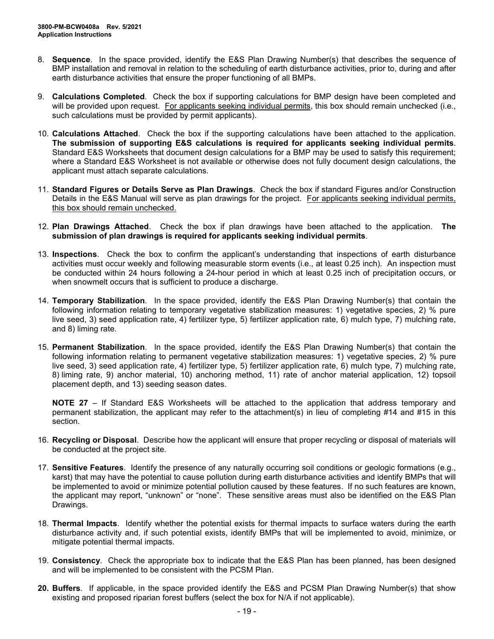- 8. **Sequence**. In the space provided, identify the E&S Plan Drawing Number(s) that describes the sequence of BMP installation and removal in relation to the scheduling of earth disturbance activities, prior to, during and after earth disturbance activities that ensure the proper functioning of all BMPs.
- 9. **Calculations Completed**. Check the box if supporting calculations for BMP design have been completed and will be provided upon request. For applicants seeking individual permits, this box should remain unchecked (i.e., such calculations must be provided by permit applicants).
- 10. **Calculations Attached**. Check the box if the supporting calculations have been attached to the application. **The submission of supporting E&S calculations is required for applicants seeking individual permits**. Standard E&S Worksheets that document design calculations for a BMP may be used to satisfy this requirement; where a Standard E&S Worksheet is not available or otherwise does not fully document design calculations, the applicant must attach separate calculations.
- 11. **Standard Figures or Details Serve as Plan Drawings**. Check the box if standard Figures and/or Construction Details in the E&S Manual will serve as plan drawings for the project. For applicants seeking individual permits, this box should remain unchecked.
- 12. **Plan Drawings Attached**. Check the box if plan drawings have been attached to the application. **The submission of plan drawings is required for applicants seeking individual permits**.
- 13. **Inspections**. Check the box to confirm the applicant's understanding that inspections of earth disturbance activities must occur weekly and following measurable storm events (i.e., at least 0.25 inch). An inspection must be conducted within 24 hours following a 24-hour period in which at least 0.25 inch of precipitation occurs, or when snowmelt occurs that is sufficient to produce a discharge.
- 14. **Temporary Stabilization**. In the space provided, identify the E&S Plan Drawing Number(s) that contain the following information relating to temporary vegetative stabilization measures: 1) vegetative species, 2) % pure live seed, 3) seed application rate, 4) fertilizer type, 5) fertilizer application rate, 6) mulch type, 7) mulching rate, and 8) liming rate.
- 15. **Permanent Stabilization**. In the space provided, identify the E&S Plan Drawing Number(s) that contain the following information relating to permanent vegetative stabilization measures: 1) vegetative species, 2) % pure live seed, 3) seed application rate, 4) fertilizer type, 5) fertilizer application rate, 6) mulch type, 7) mulching rate, 8) liming rate, 9) anchor material, 10) anchoring method, 11) rate of anchor material application, 12) topsoil placement depth, and 13) seeding season dates.

**NOTE 27** – If Standard E&S Worksheets will be attached to the application that address temporary and permanent stabilization, the applicant may refer to the attachment(s) in lieu of completing #14 and #15 in this section.

- 16. **Recycling or Disposal**. Describe how the applicant will ensure that proper recycling or disposal of materials will be conducted at the project site.
- 17. **Sensitive Features**. Identify the presence of any naturally occurring soil conditions or geologic formations (e.g., karst) that may have the potential to cause pollution during earth disturbance activities and identify BMPs that will be implemented to avoid or minimize potential pollution caused by these features. If no such features are known, the applicant may report, "unknown" or "none". These sensitive areas must also be identified on the E&S Plan Drawings.
- 18. **Thermal Impacts**. Identify whether the potential exists for thermal impacts to surface waters during the earth disturbance activity and, if such potential exists, identify BMPs that will be implemented to avoid, minimize, or mitigate potential thermal impacts.
- 19. **Consistency**. Check the appropriate box to indicate that the E&S Plan has been planned, has been designed and will be implemented to be consistent with the PCSM Plan.
- **20. Buffers**. If applicable, in the space provided identify the E&S and PCSM Plan Drawing Number(s) that show existing and proposed riparian forest buffers (select the box for N/A if not applicable).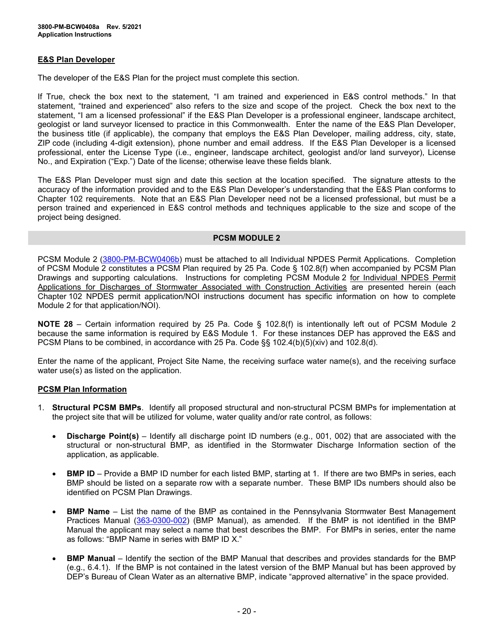## **E&S Plan Developer**

The developer of the E&S Plan for the project must complete this section.

If True, check the box next to the statement, "I am trained and experienced in E&S control methods." In that statement, "trained and experienced" also refers to the size and scope of the project. Check the box next to the statement, "I am a licensed professional" if the E&S Plan Developer is a professional engineer, landscape architect, geologist or land surveyor licensed to practice in this Commonwealth. Enter the name of the E&S Plan Developer, the business title (if applicable), the company that employs the E&S Plan Developer, mailing address, city, state, ZIP code (including 4-digit extension), phone number and email address. If the E&S Plan Developer is a licensed professional, enter the License Type (i.e., engineer, landscape architect, geologist and/or land surveyor), License No., and Expiration ("Exp.") Date of the license; otherwise leave these fields blank.

The E&S Plan Developer must sign and date this section at the location specified. The signature attests to the accuracy of the information provided and to the E&S Plan Developer's understanding that the E&S Plan conforms to Chapter 102 requirements. Note that an E&S Plan Developer need not be a licensed professional, but must be a person trained and experienced in E&S control methods and techniques applicable to the size and scope of the project being designed.

### **PCSM MODULE 2**

PCSM Module 2 [\(3800-PM-BCW0406b\)](http://www.depgreenport.state.pa.us/elibrary/GetFolder?FolderID=105480) must be attached to all Individual NPDES Permit Applications. Completion of PCSM Module 2 constitutes a PCSM Plan required by 25 Pa. Code § 102.8(f) when accompanied by PCSM Plan Drawings and supporting calculations. Instructions for completing PCSM Module 2 for Individual NPDES Permit Applications for Discharges of Stormwater Associated with Construction Activities are presented herein (each Chapter 102 NPDES permit application/NOI instructions document has specific information on how to complete Module 2 for that application/NOI).

**NOTE 28** – Certain information required by 25 Pa. Code § 102.8(f) is intentionally left out of PCSM Module 2 because the same information is required by E&S Module 1. For these instances DEP has approved the E&S and PCSM Plans to be combined, in accordance with 25 Pa. Code §§ 102.4(b)(5)(xiv) and 102.8(d).

Enter the name of the applicant, Project Site Name, the receiving surface water name(s), and the receiving surface water use(s) as listed on the application.

### **PCSM Plan Information**

- 1. **Structural PCSM BMPs**. Identify all proposed structural and non-structural PCSM BMPs for implementation at the project site that will be utilized for volume, water quality and/or rate control, as follows:
	- **Discharge Point(s)** Identify all discharge point ID numbers (e.g., 001, 002) that are associated with the structural or non-structural BMP, as identified in the Stormwater Discharge Information section of the application, as applicable.
	- **BMP ID** Provide a BMP ID number for each listed BMP, starting at 1. If there are two BMPs in series, each BMP should be listed on a separate row with a separate number. These BMP IDs numbers should also be identified on PCSM Plan Drawings.
	- **BMP Name** List the name of the BMP as contained in the Pennsylvania Stormwater Best Management Practices Manual [\(363-0300-002\)](http://www.depgreenport.state.pa.us/elibrary/GetFolder?FolderID=4673) (BMP Manual), as amended. If the BMP is not identified in the BMP Manual the applicant may select a name that best describes the BMP. For BMPs in series, enter the name as follows: "BMP Name in series with BMP ID X."
	- **BMP Manual** Identify the section of the BMP Manual that describes and provides standards for the BMP (e.g., 6.4.1). If the BMP is not contained in the latest version of the BMP Manual but has been approved by DEP's Bureau of Clean Water as an alternative BMP, indicate "approved alternative" in the space provided.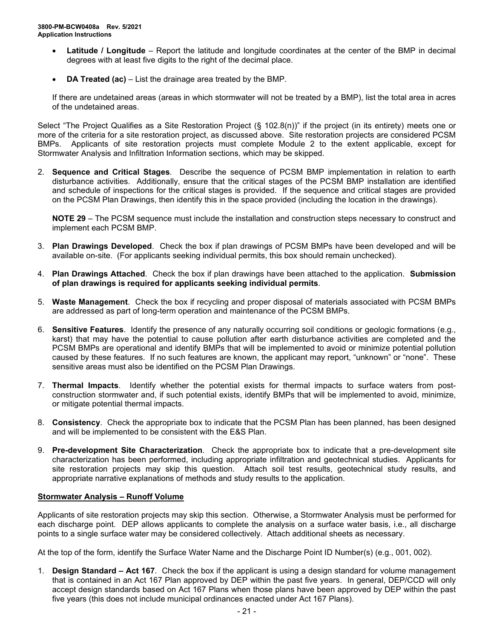- **Latitude / Longitude** Report the latitude and longitude coordinates at the center of the BMP in decimal degrees with at least five digits to the right of the decimal place.
- **DA Treated (ac)** List the drainage area treated by the BMP.

If there are undetained areas (areas in which stormwater will not be treated by a BMP), list the total area in acres of the undetained areas.

Select "The Project Qualifies as a Site Restoration Project (§ 102.8(n))" if the project (in its entirety) meets one or more of the criteria for a site restoration project, as discussed above. Site restoration projects are considered PCSM BMPs. Applicants of site restoration projects must complete Module 2 to the extent applicable, except for Stormwater Analysis and Infiltration Information sections, which may be skipped.

2. **Sequence and Critical Stages**. Describe the sequence of PCSM BMP implementation in relation to earth disturbance activities. Additionally, ensure that the critical stages of the PCSM BMP installation are identified and schedule of inspections for the critical stages is provided. If the sequence and critical stages are provided on the PCSM Plan Drawings, then identify this in the space provided (including the location in the drawings).

**NOTE 29** – The PCSM sequence must include the installation and construction steps necessary to construct and implement each PCSM BMP.

- 3. **Plan Drawings Developed**. Check the box if plan drawings of PCSM BMPs have been developed and will be available on-site. (For applicants seeking individual permits, this box should remain unchecked).
- 4. **Plan Drawings Attached**. Check the box if plan drawings have been attached to the application. **Submission of plan drawings is required for applicants seeking individual permits**.
- 5. **Waste Management**. Check the box if recycling and proper disposal of materials associated with PCSM BMPs are addressed as part of long-term operation and maintenance of the PCSM BMPs.
- 6. **Sensitive Features**. Identify the presence of any naturally occurring soil conditions or geologic formations (e.g., karst) that may have the potential to cause pollution after earth disturbance activities are completed and the PCSM BMPs are operational and identify BMPs that will be implemented to avoid or minimize potential pollution caused by these features. If no such features are known, the applicant may report, "unknown" or "none". These sensitive areas must also be identified on the PCSM Plan Drawings.
- 7. **Thermal Impacts**. Identify whether the potential exists for thermal impacts to surface waters from postconstruction stormwater and, if such potential exists, identify BMPs that will be implemented to avoid, minimize, or mitigate potential thermal impacts.
- 8. **Consistency**. Check the appropriate box to indicate that the PCSM Plan has been planned, has been designed and will be implemented to be consistent with the E&S Plan.
- 9. **Pre-development Site Characterization**. Check the appropriate box to indicate that a pre-development site characterization has been performed, including appropriate infiltration and geotechnical studies. Applicants for site restoration projects may skip this question. Attach soil test results, geotechnical study results, and appropriate narrative explanations of methods and study results to the application.

### **Stormwater Analysis – Runoff Volume**

Applicants of site restoration projects may skip this section. Otherwise, a Stormwater Analysis must be performed for each discharge point. DEP allows applicants to complete the analysis on a surface water basis, i.e., all discharge points to a single surface water may be considered collectively. Attach additional sheets as necessary.

At the top of the form, identify the Surface Water Name and the Discharge Point ID Number(s) (e.g., 001, 002).

1. **Design Standard – Act 167**. Check the box if the applicant is using a design standard for volume management that is contained in an Act 167 Plan approved by DEP within the past five years. In general, DEP/CCD will only accept design standards based on Act 167 Plans when those plans have been approved by DEP within the past five years (this does not include municipal ordinances enacted under Act 167 Plans).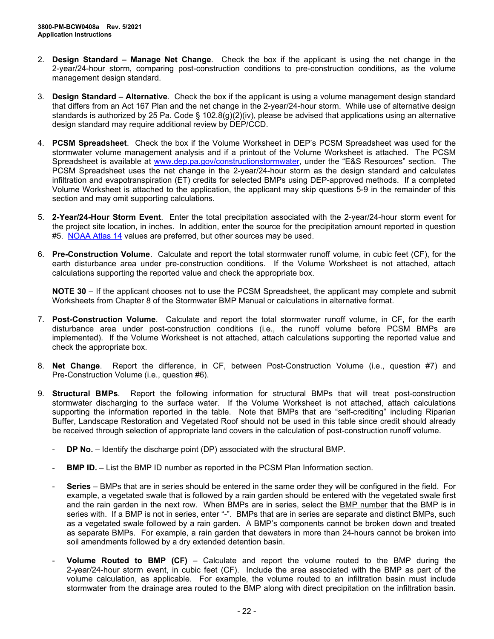- 2. **Design Standard – Manage Net Change**. Check the box if the applicant is using the net change in the 2-year/24-hour storm, comparing post-construction conditions to pre-construction conditions, as the volume management design standard.
- 3. **Design Standard – Alternative**. Check the box if the applicant is using a volume management design standard that differs from an Act 167 Plan and the net change in the 2-year/24-hour storm. While use of alternative design standards is authorized by 25 Pa. Code § 102.8(g)(2)(iv), please be advised that applications using an alternative design standard may require additional review by DEP/CCD.
- 4. **PCSM Spreadsheet**. Check the box if the Volume Worksheet in DEP's PCSM Spreadsheet was used for the stormwater volume management analysis and if a printout of the Volume Worksheet is attached. The PCSM Spreadsheet is available at [www.dep.pa.gov/constructionstormwater,](http://www.dep.pa.gov/constructionstormwater) under the "E&S Resources" section. The PCSM Spreadsheet uses the net change in the 2-year/24-hour storm as the design standard and calculates infiltration and evapotranspiration (ET) credits for selected BMPs using DEP-approved methods. If a completed Volume Worksheet is attached to the application, the applicant may skip questions 5-9 in the remainder of this section and may omit supporting calculations.
- 5. **2-Year/24-Hour Storm Event**. Enter the total precipitation associated with the 2-year/24-hour storm event for the project site location, in inches. In addition, enter the source for the precipitation amount reported in question #5. [NOAA Atlas 14](https://hdsc.nws.noaa.gov/hdsc/pfds/pfds_map_cont.html) values are preferred, but other sources may be used.
- 6. **Pre-Construction Volume**. Calculate and report the total stormwater runoff volume, in cubic feet (CF), for the earth disturbance area under pre-construction conditions. If the Volume Worksheet is not attached, attach calculations supporting the reported value and check the appropriate box.

**NOTE 30** – If the applicant chooses not to use the PCSM Spreadsheet, the applicant may complete and submit Worksheets from Chapter 8 of the Stormwater BMP Manual or calculations in alternative format.

- 7. **Post-Construction Volume**. Calculate and report the total stormwater runoff volume, in CF, for the earth disturbance area under post-construction conditions (i.e., the runoff volume before PCSM BMPs are implemented). If the Volume Worksheet is not attached, attach calculations supporting the reported value and check the appropriate box.
- 8. **Net Change**. Report the difference, in CF, between Post-Construction Volume (i.e., question #7) and Pre-Construction Volume (i.e., question #6).
- 9. **Structural BMPs**. Report the following information for structural BMPs that will treat post-construction stormwater discharging to the surface water. If the Volume Worksheet is not attached, attach calculations supporting the information reported in the table. Note that BMPs that are "self-crediting" including Riparian Buffer, Landscape Restoration and Vegetated Roof should not be used in this table since credit should already be received through selection of appropriate land covers in the calculation of post-construction runoff volume.
	- **DP No.** Identify the discharge point (DP) associated with the structural BMP.
	- **BMP ID.** List the BMP ID number as reported in the PCSM Plan Information section.
	- **Series** BMPs that are in series should be entered in the same order they will be configured in the field. For example, a vegetated swale that is followed by a rain garden should be entered with the vegetated swale first and the rain garden in the next row. When BMPs are in series, select the BMP number that the BMP is in series with. If a BMP is not in series, enter "-". BMPs that are in series are separate and distinct BMPs, such as a vegetated swale followed by a rain garden. A BMP's components cannot be broken down and treated as separate BMPs. For example, a rain garden that dewaters in more than 24-hours cannot be broken into soil amendments followed by a dry extended detention basin.
	- **Volume Routed to BMP (CF)** Calculate and report the volume routed to the BMP during the 2-year/24-hour storm event, in cubic feet (CF). Include the area associated with the BMP as part of the volume calculation, as applicable. For example, the volume routed to an infiltration basin must include stormwater from the drainage area routed to the BMP along with direct precipitation on the infiltration basin.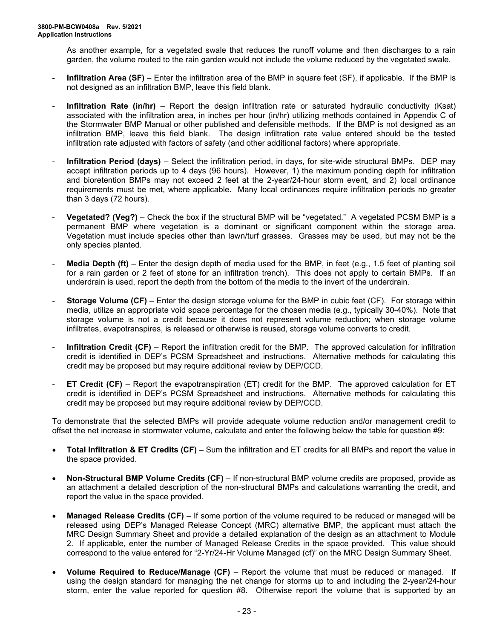As another example, for a vegetated swale that reduces the runoff volume and then discharges to a rain garden, the volume routed to the rain garden would not include the volume reduced by the vegetated swale.

- **Infiltration Area (SF)** Enter the infiltration area of the BMP in square feet (SF), if applicable. If the BMP is not designed as an infiltration BMP, leave this field blank.
- **Infiltration Rate (in/hr)** Report the design infiltration rate or saturated hydraulic conductivity (Ksat) associated with the infiltration area, in inches per hour (in/hr) utilizing methods contained in Appendix C of the Stormwater BMP Manual or other published and defensible methods. If the BMP is not designed as an infiltration BMP, leave this field blank. The design infiltration rate value entered should be the tested infiltration rate adjusted with factors of safety (and other additional factors) where appropriate.
- **Infiltration Period (days)** Select the infiltration period, in days, for site-wide structural BMPs. DEP may accept infiltration periods up to 4 days (96 hours). However, 1) the maximum ponding depth for infiltration and bioretention BMPs may not exceed 2 feet at the 2-year/24-hour storm event, and 2) local ordinance requirements must be met, where applicable. Many local ordinances require infiltration periods no greater than 3 days (72 hours).
- **Vegetated? (Veg?)** Check the box if the structural BMP will be "vegetated." A vegetated PCSM BMP is a permanent BMP where vegetation is a dominant or significant component within the storage area. Vegetation must include species other than lawn/turf grasses. Grasses may be used, but may not be the only species planted.
- **Media Depth (ft)** Enter the design depth of media used for the BMP, in feet (e.g., 1.5 feet of planting soil for a rain garden or 2 feet of stone for an infiltration trench). This does not apply to certain BMPs. If an underdrain is used, report the depth from the bottom of the media to the invert of the underdrain.
- **Storage Volume (CF)** Enter the design storage volume for the BMP in cubic feet (CF). For storage within media, utilize an appropriate void space percentage for the chosen media (e.g., typically 30-40%). Note that storage volume is not a credit because it does not represent volume reduction; when storage volume infiltrates, evapotranspires, is released or otherwise is reused, storage volume converts to credit.
- **Infiltration Credit (CF)** Report the infiltration credit for the BMP. The approved calculation for infiltration credit is identified in DEP's PCSM Spreadsheet and instructions. Alternative methods for calculating this credit may be proposed but may require additional review by DEP/CCD.
- **ET Credit (CF)** Report the evapotranspiration (ET) credit for the BMP. The approved calculation for ET credit is identified in DEP's PCSM Spreadsheet and instructions. Alternative methods for calculating this credit may be proposed but may require additional review by DEP/CCD.

To demonstrate that the selected BMPs will provide adequate volume reduction and/or management credit to offset the net increase in stormwater volume, calculate and enter the following below the table for question #9:

- **Total Infiltration & ET Credits (CF)** Sum the infiltration and ET credits for all BMPs and report the value in the space provided.
- **Non-Structural BMP Volume Credits (CF)** If non-structural BMP volume credits are proposed, provide as an attachment a detailed description of the non-structural BMPs and calculations warranting the credit, and report the value in the space provided.
- **Managed Release Credits (CF)** If some portion of the volume required to be reduced or managed will be released using DEP's Managed Release Concept (MRC) alternative BMP, the applicant must attach the MRC Design Summary Sheet and provide a detailed explanation of the design as an attachment to Module 2. If applicable, enter the number of Managed Release Credits in the space provided. This value should correspond to the value entered for "2-Yr/24-Hr Volume Managed (cf)" on the MRC Design Summary Sheet.
- **Volume Required to Reduce/Manage (CF)** Report the volume that must be reduced or managed. If using the design standard for managing the net change for storms up to and including the 2-year/24-hour storm, enter the value reported for question #8. Otherwise report the volume that is supported by an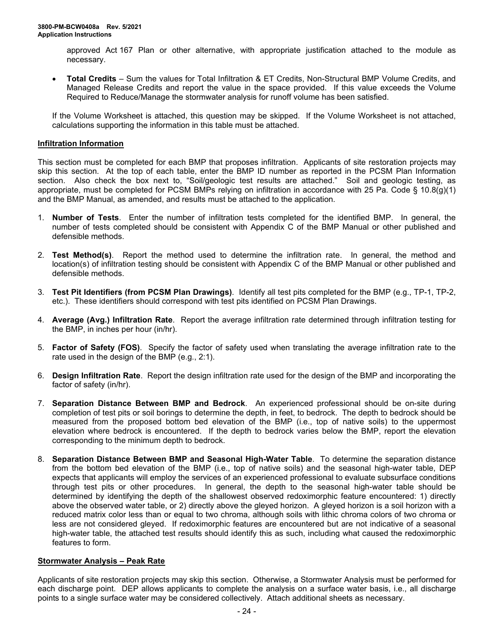approved Act 167 Plan or other alternative, with appropriate justification attached to the module as necessary.

• **Total Credits** – Sum the values for Total Infiltration & ET Credits, Non-Structural BMP Volume Credits, and Managed Release Credits and report the value in the space provided. If this value exceeds the Volume Required to Reduce/Manage the stormwater analysis for runoff volume has been satisfied.

If the Volume Worksheet is attached, this question may be skipped. If the Volume Worksheet is not attached, calculations supporting the information in this table must be attached.

#### **Infiltration Information**

This section must be completed for each BMP that proposes infiltration. Applicants of site restoration projects may skip this section. At the top of each table, enter the BMP ID number as reported in the PCSM Plan Information section. Also check the box next to, "Soil/geologic test results are attached." Soil and geologic testing, as appropriate, must be completed for PCSM BMPs relying on infiltration in accordance with 25 Pa. Code § 10.8(g)(1) and the BMP Manual, as amended, and results must be attached to the application.

- 1. **Number of Tests**. Enter the number of infiltration tests completed for the identified BMP. In general, the number of tests completed should be consistent with Appendix C of the BMP Manual or other published and defensible methods.
- 2. **Test Method(s)**. Report the method used to determine the infiltration rate. In general, the method and location(s) of infiltration testing should be consistent with Appendix C of the BMP Manual or other published and defensible methods.
- 3. **Test Pit Identifiers (from PCSM Plan Drawings)**. Identify all test pits completed for the BMP (e.g., TP-1, TP-2, etc.). These identifiers should correspond with test pits identified on PCSM Plan Drawings.
- 4. **Average (Avg.) Infiltration Rate**. Report the average infiltration rate determined through infiltration testing for the BMP, in inches per hour (in/hr).
- 5. **Factor of Safety (FOS)**. Specify the factor of safety used when translating the average infiltration rate to the rate used in the design of the BMP (e.g., 2:1).
- 6. **Design Infiltration Rate**. Report the design infiltration rate used for the design of the BMP and incorporating the factor of safety (in/hr).
- 7. **Separation Distance Between BMP and Bedrock**. An experienced professional should be on-site during completion of test pits or soil borings to determine the depth, in feet, to bedrock. The depth to bedrock should be measured from the proposed bottom bed elevation of the BMP (i.e., top of native soils) to the uppermost elevation where bedrock is encountered. If the depth to bedrock varies below the BMP, report the elevation corresponding to the minimum depth to bedrock.
- 8. **Separation Distance Between BMP and Seasonal High-Water Table**. To determine the separation distance from the bottom bed elevation of the BMP (i.e., top of native soils) and the seasonal high-water table, DEP expects that applicants will employ the services of an experienced professional to evaluate subsurface conditions through test pits or other procedures. In general, the depth to the seasonal high-water table should be determined by identifying the depth of the shallowest observed redoximorphic feature encountered: 1) directly above the observed water table, or 2) directly above the gleyed horizon. A gleyed horizon is a soil horizon with a reduced matrix color less than or equal to two chroma, although soils with lithic chroma colors of two chroma or less are not considered gleyed. If redoximorphic features are encountered but are not indicative of a seasonal high-water table, the attached test results should identify this as such, including what caused the redoximorphic features to form.

### **Stormwater Analysis – Peak Rate**

Applicants of site restoration projects may skip this section. Otherwise, a Stormwater Analysis must be performed for each discharge point. DEP allows applicants to complete the analysis on a surface water basis, i.e., all discharge points to a single surface water may be considered collectively. Attach additional sheets as necessary.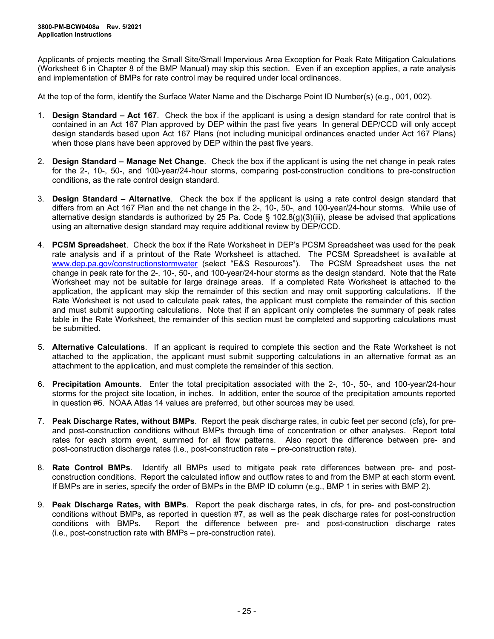Applicants of projects meeting the Small Site/Small Impervious Area Exception for Peak Rate Mitigation Calculations (Worksheet 6 in Chapter 8 of the BMP Manual) may skip this section. Even if an exception applies, a rate analysis and implementation of BMPs for rate control may be required under local ordinances.

At the top of the form, identify the Surface Water Name and the Discharge Point ID Number(s) (e.g., 001, 002).

- 1. **Design Standard – Act 167**. Check the box if the applicant is using a design standard for rate control that is contained in an Act 167 Plan approved by DEP within the past five years In general DEP/CCD will only accept design standards based upon Act 167 Plans (not including municipal ordinances enacted under Act 167 Plans) when those plans have been approved by DEP within the past five years.
- 2. **Design Standard – Manage Net Change**. Check the box if the applicant is using the net change in peak rates for the 2-, 10-, 50-, and 100-year/24-hour storms, comparing post-construction conditions to pre-construction conditions, as the rate control design standard.
- 3. **Design Standard – Alternative**. Check the box if the applicant is using a rate control design standard that differs from an Act 167 Plan and the net change in the 2-, 10-, 50-, and 100-year/24-hour storms. While use of alternative design standards is authorized by 25 Pa. Code § 102.8(g)(3)(iii), please be advised that applications using an alternative design standard may require additional review by DEP/CCD.
- 4. **PCSM Spreadsheet**. Check the box if the Rate Worksheet in DEP's PCSM Spreadsheet was used for the peak rate analysis and if a printout of the Rate Worksheet is attached. The PCSM Spreadsheet is available at [www.dep.pa.gov/constructionstormwater](http://www.dep.pa.gov/constructionstormwater) (select "E&S Resources"). The PCSM Spreadsheet uses the net change in peak rate for the 2-, 10-, 50-, and 100-year/24-hour storms as the design standard. Note that the Rate Worksheet may not be suitable for large drainage areas. If a completed Rate Worksheet is attached to the application, the applicant may skip the remainder of this section and may omit supporting calculations. If the Rate Worksheet is not used to calculate peak rates, the applicant must complete the remainder of this section and must submit supporting calculations. Note that if an applicant only completes the summary of peak rates table in the Rate Worksheet, the remainder of this section must be completed and supporting calculations must be submitted.
- 5. **Alternative Calculations**. If an applicant is required to complete this section and the Rate Worksheet is not attached to the application, the applicant must submit supporting calculations in an alternative format as an attachment to the application, and must complete the remainder of this section.
- 6. **Precipitation Amounts**. Enter the total precipitation associated with the 2-, 10-, 50-, and 100-year/24-hour storms for the project site location, in inches. In addition, enter the source of the precipitation amounts reported in question #6. NOAA Atlas 14 values are preferred, but other sources may be used.
- 7. **Peak Discharge Rates, without BMPs**. Report the peak discharge rates, in cubic feet per second (cfs), for preand post-construction conditions without BMPs through time of concentration or other analyses. Report total rates for each storm event, summed for all flow patterns. Also report the difference between pre- and post-construction discharge rates (i.e., post-construction rate – pre-construction rate).
- 8. **Rate Control BMPs**. Identify all BMPs used to mitigate peak rate differences between pre- and postconstruction conditions. Report the calculated inflow and outflow rates to and from the BMP at each storm event. If BMPs are in series, specify the order of BMPs in the BMP ID column (e.g., BMP 1 in series with BMP 2).
- 9. **Peak Discharge Rates, with BMPs**. Report the peak discharge rates, in cfs, for pre- and post-construction conditions without BMPs, as reported in question #7, as well as the peak discharge rates for post-construction conditions with BMPs. Report the difference between pre- and post-construction discharge rates (i.e., post-construction rate with BMPs – pre-construction rate).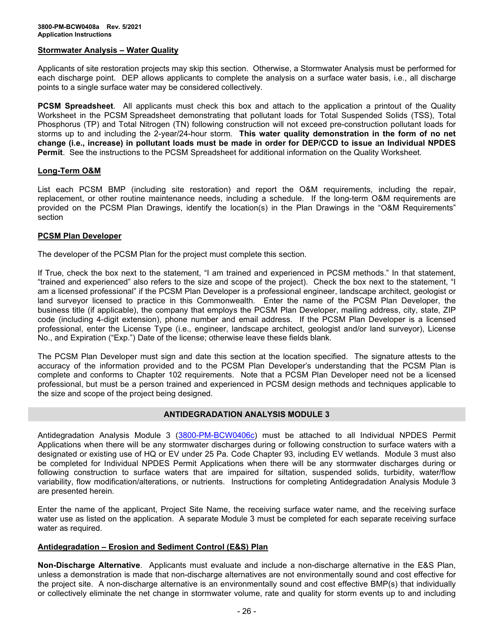#### **Stormwater Analysis – Water Quality**

Applicants of site restoration projects may skip this section. Otherwise, a Stormwater Analysis must be performed for each discharge point. DEP allows applicants to complete the analysis on a surface water basis, i.e., all discharge points to a single surface water may be considered collectively.

**PCSM Spreadsheet**. All applicants must check this box and attach to the application a printout of the Quality Worksheet in the PCSM Spreadsheet demonstrating that pollutant loads for Total Suspended Solids (TSS), Total Phosphorus (TP) and Total Nitrogen (TN) following construction will not exceed pre-construction pollutant loads for storms up to and including the 2-year/24-hour storm. **This water quality demonstration in the form of no net change (i.e., increase) in pollutant loads must be made in order for DEP/CCD to issue an Individual NPDES Permit**. See the instructions to the PCSM Spreadsheet for additional information on the Quality Worksheet.

### **Long-Term O&M**

List each PCSM BMP (including site restoration) and report the O&M requirements, including the repair, replacement, or other routine maintenance needs, including a schedule. If the long-term O&M requirements are provided on the PCSM Plan Drawings, identify the location(s) in the Plan Drawings in the "O&M Requirements" section

#### **PCSM Plan Developer**

The developer of the PCSM Plan for the project must complete this section.

If True, check the box next to the statement, "I am trained and experienced in PCSM methods." In that statement, "trained and experienced" also refers to the size and scope of the project). Check the box next to the statement, "I am a licensed professional" if the PCSM Plan Developer is a professional engineer, landscape architect, geologist or land surveyor licensed to practice in this Commonwealth. Enter the name of the PCSM Plan Developer, the business title (if applicable), the company that employs the PCSM Plan Developer, mailing address, city, state, ZIP code (including 4-digit extension), phone number and email address. If the PCSM Plan Developer is a licensed professional, enter the License Type (i.e., engineer, landscape architect, geologist and/or land surveyor), License No., and Expiration ("Exp.") Date of the license; otherwise leave these fields blank.

The PCSM Plan Developer must sign and date this section at the location specified. The signature attests to the accuracy of the information provided and to the PCSM Plan Developer's understanding that the PCSM Plan is complete and conforms to Chapter 102 requirements. Note that a PCSM Plan Developer need not be a licensed professional, but must be a person trained and experienced in PCSM design methods and techniques applicable to the size and scope of the project being designed.

## **ANTIDEGRADATION ANALYSIS MODULE 3**

Antidegradation Analysis Module 3 [\(3800-PM-BCW0406c\)](http://www.depgreenport.state.pa.us/elibrary/GetFolder?FolderID=105480) must be attached to all Individual NPDES Permit Applications when there will be any stormwater discharges during or following construction to surface waters with a designated or existing use of HQ or EV under 25 Pa. Code Chapter 93, including EV wetlands. Module 3 must also be completed for Individual NPDES Permit Applications when there will be any stormwater discharges during or following construction to surface waters that are impaired for siltation, suspended solids, turbidity, water/flow variability, flow modification/alterations, or nutrients. Instructions for completing Antidegradation Analysis Module 3 are presented herein.

Enter the name of the applicant, Project Site Name, the receiving surface water name, and the receiving surface water use as listed on the application. A separate Module 3 must be completed for each separate receiving surface water as required.

## **Antidegradation – Erosion and Sediment Control (E&S) Plan**

**Non-Discharge Alternative**. Applicants must evaluate and include a non-discharge alternative in the E&S Plan, unless a demonstration is made that non-discharge alternatives are not environmentally sound and cost effective for the project site. A non-discharge alternative is an environmentally sound and cost effective BMP(s) that individually or collectively eliminate the net change in stormwater volume, rate and quality for storm events up to and including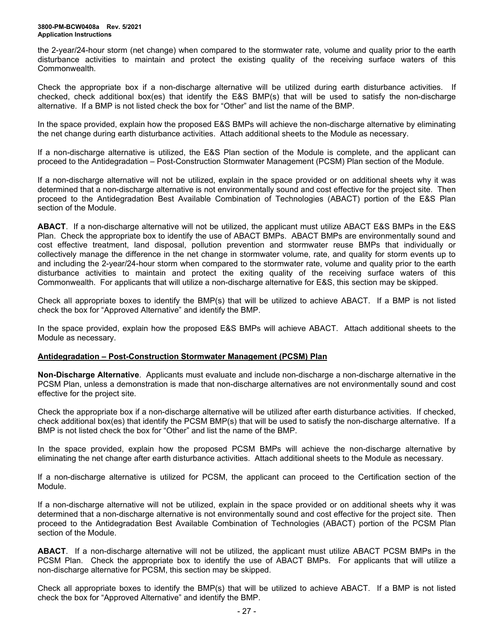the 2-year/24-hour storm (net change) when compared to the stormwater rate, volume and quality prior to the earth disturbance activities to maintain and protect the existing quality of the receiving surface waters of this Commonwealth.

Check the appropriate box if a non-discharge alternative will be utilized during earth disturbance activities. If checked, check additional box(es) that identify the E&S BMP(s) that will be used to satisfy the non-discharge alternative. If a BMP is not listed check the box for "Other" and list the name of the BMP.

In the space provided, explain how the proposed E&S BMPs will achieve the non-discharge alternative by eliminating the net change during earth disturbance activities. Attach additional sheets to the Module as necessary.

If a non-discharge alternative is utilized, the E&S Plan section of the Module is complete, and the applicant can proceed to the Antidegradation – Post-Construction Stormwater Management (PCSM) Plan section of the Module.

If a non-discharge alternative will not be utilized, explain in the space provided or on additional sheets why it was determined that a non-discharge alternative is not environmentally sound and cost effective for the project site. Then proceed to the Antidegradation Best Available Combination of Technologies (ABACT) portion of the E&S Plan section of the Module.

**ABACT**. If a non-discharge alternative will not be utilized, the applicant must utilize ABACT E&S BMPs in the E&S Plan. Check the appropriate box to identify the use of ABACT BMPs. ABACT BMPs are environmentally sound and cost effective treatment, land disposal, pollution prevention and stormwater reuse BMPs that individually or collectively manage the difference in the net change in stormwater volume, rate, and quality for storm events up to and including the 2-year/24-hour storm when compared to the stormwater rate, volume and quality prior to the earth disturbance activities to maintain and protect the exiting quality of the receiving surface waters of this Commonwealth. For applicants that will utilize a non-discharge alternative for E&S, this section may be skipped.

Check all appropriate boxes to identify the BMP(s) that will be utilized to achieve ABACT. If a BMP is not listed check the box for "Approved Alternative" and identify the BMP.

In the space provided, explain how the proposed E&S BMPs will achieve ABACT. Attach additional sheets to the Module as necessary.

### **Antidegradation – Post-Construction Stormwater Management (PCSM) Plan**

**Non-Discharge Alternative**. Applicants must evaluate and include non-discharge a non-discharge alternative in the PCSM Plan, unless a demonstration is made that non-discharge alternatives are not environmentally sound and cost effective for the project site.

Check the appropriate box if a non-discharge alternative will be utilized after earth disturbance activities. If checked, check additional box(es) that identify the PCSM BMP(s) that will be used to satisfy the non-discharge alternative. If a BMP is not listed check the box for "Other" and list the name of the BMP.

In the space provided, explain how the proposed PCSM BMPs will achieve the non-discharge alternative by eliminating the net change after earth disturbance activities. Attach additional sheets to the Module as necessary.

If a non-discharge alternative is utilized for PCSM, the applicant can proceed to the Certification section of the Module.

If a non-discharge alternative will not be utilized, explain in the space provided or on additional sheets why it was determined that a non-discharge alternative is not environmentally sound and cost effective for the project site. Then proceed to the Antidegradation Best Available Combination of Technologies (ABACT) portion of the PCSM Plan section of the Module.

**ABACT**. If a non-discharge alternative will not be utilized, the applicant must utilize ABACT PCSM BMPs in the PCSM Plan. Check the appropriate box to identify the use of ABACT BMPs. For applicants that will utilize a non-discharge alternative for PCSM, this section may be skipped.

Check all appropriate boxes to identify the BMP(s) that will be utilized to achieve ABACT. If a BMP is not listed check the box for "Approved Alternative" and identify the BMP.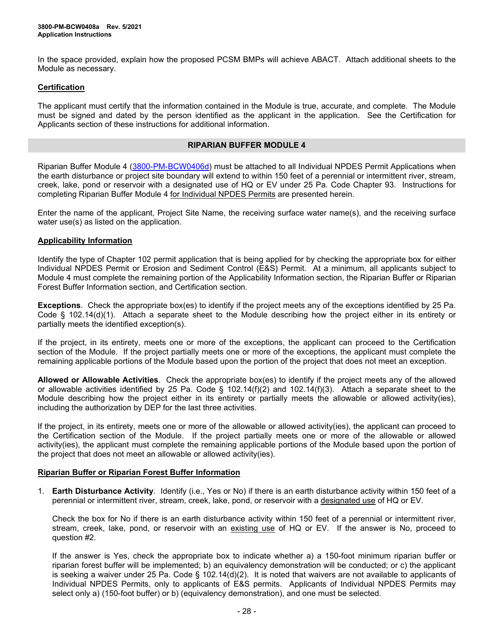In the space provided, explain how the proposed PCSM BMPs will achieve ABACT. Attach additional sheets to the Module as necessary.

### **Certification**

The applicant must certify that the information contained in the Module is true, accurate, and complete. The Module must be signed and dated by the person identified as the applicant in the application. See the Certification for Applicants section of these instructions for additional information.

#### **RIPARIAN BUFFER MODULE 4**

Riparian Buffer Module 4 [\(3800-PM-BCW0406d\)](http://www.depgreenport.state.pa.us/elibrary/GetFolder?FolderID=105480) must be attached to all Individual NPDES Permit Applications when the earth disturbance or project site boundary will extend to within 150 feet of a perennial or intermittent river, stream, creek, lake, pond or reservoir with a designated use of HQ or EV under 25 Pa. Code Chapter 93. Instructions for completing Riparian Buffer Module 4 for Individual NPDES Permits are presented herein.

Enter the name of the applicant, Project Site Name, the receiving surface water name(s), and the receiving surface water use(s) as listed on the application.

### **Applicability Information**

Identify the type of Chapter 102 permit application that is being applied for by checking the appropriate box for either Individual NPDES Permit or Erosion and Sediment Control (E&S) Permit. At a minimum, all applicants subject to Module 4 must complete the remaining portion of the Applicability Information section, the Riparian Buffer or Riparian Forest Buffer Information section, and Certification section.

**Exceptions**. Check the appropriate box(es) to identify if the project meets any of the exceptions identified by 25 Pa. Code § 102.14(d)(1). Attach a separate sheet to the Module describing how the project either in its entirety or partially meets the identified exception(s).

If the project, in its entirety, meets one or more of the exceptions, the applicant can proceed to the Certification section of the Module. If the project partially meets one or more of the exceptions, the applicant must complete the remaining applicable portions of the Module based upon the portion of the project that does not meet an exception.

**Allowed or Allowable Activities**. Check the appropriate box(es) to identify if the project meets any of the allowed or allowable activities identified by 25 Pa. Code § 102.14(f)(2) and 102.14(f)(3). Attach a separate sheet to the Module describing how the project either in its entirety or partially meets the allowable or allowed activity(ies), including the authorization by DEP for the last three activities.

If the project, in its entirety, meets one or more of the allowable or allowed activity(ies), the applicant can proceed to the Certification section of the Module. If the project partially meets one or more of the allowable or allowed activity(ies), the applicant must complete the remaining applicable portions of the Module based upon the portion of the project that does not meet an allowable or allowed activity(ies).

### **Riparian Buffer or Riparian Forest Buffer Information**

1. **Earth Disturbance Activity**.Identify (i.e., Yes or No) if there is an earth disturbance activity within 150 feet of a perennial or intermittent river, stream, creek, lake, pond, or reservoir with a designated use of HQ or EV.

Check the box for No if there is an earth disturbance activity within 150 feet of a perennial or intermittent river, stream, creek, lake, pond, or reservoir with an existing use of HQ or EV. If the answer is No, proceed to question #2.

If the answer is Yes, check the appropriate box to indicate whether a) a 150-foot minimum riparian buffer or riparian forest buffer will be implemented; b) an equivalency demonstration will be conducted; or c) the applicant is seeking a waiver under 25 Pa. Code § 102.14(d)(2). It is noted that waivers are not available to applicants of Individual NPDES Permits, only to applicants of E&S permits. Applicants of Individual NPDES Permits may select only a) (150-foot buffer) or b) (equivalency demonstration), and one must be selected.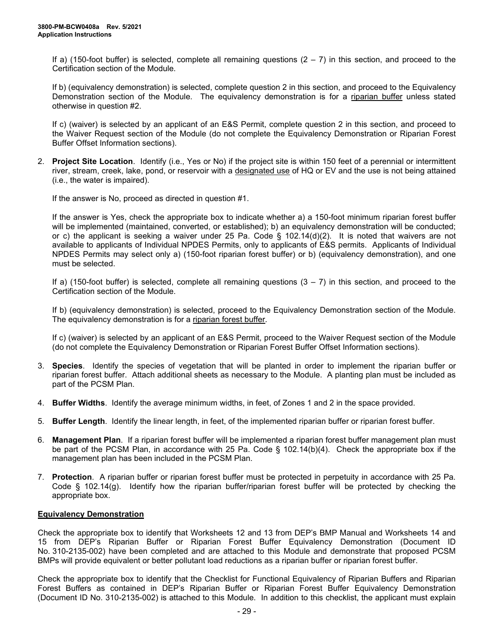If a) (150-foot buffer) is selected, complete all remaining questions  $(2 - 7)$  in this section, and proceed to the Certification section of the Module.

If b) (equivalency demonstration) is selected, complete question 2 in this section, and proceed to the Equivalency Demonstration section of the Module. The equivalency demonstration is for a riparian buffer unless stated otherwise in question #2.

If c) (waiver) is selected by an applicant of an E&S Permit, complete question 2 in this section, and proceed to the Waiver Request section of the Module (do not complete the Equivalency Demonstration or Riparian Forest Buffer Offset Information sections).

2. **Project Site Location**. Identify (i.e., Yes or No) if the project site is within 150 feet of a perennial or intermittent river, stream, creek, lake, pond, or reservoir with a designated use of HQ or EV and the use is not being attained (i.e., the water is impaired).

If the answer is No, proceed as directed in question #1.

If the answer is Yes, check the appropriate box to indicate whether a) a 150-foot minimum riparian forest buffer will be implemented (maintained, converted, or established); b) an equivalency demonstration will be conducted; or c) the applicant is seeking a waiver under 25 Pa. Code § 102.14(d)(2). It is noted that waivers are not available to applicants of Individual NPDES Permits, only to applicants of E&S permits. Applicants of Individual NPDES Permits may select only a) (150-foot riparian forest buffer) or b) (equivalency demonstration), and one must be selected.

If a) (150-foot buffer) is selected, complete all remaining questions  $(3 - 7)$  in this section, and proceed to the Certification section of the Module.

If b) (equivalency demonstration) is selected, proceed to the Equivalency Demonstration section of the Module. The equivalency demonstration is for a riparian forest buffer.

If c) (waiver) is selected by an applicant of an E&S Permit, proceed to the Waiver Request section of the Module (do not complete the Equivalency Demonstration or Riparian Forest Buffer Offset Information sections).

- 3. **Species**. Identify the species of vegetation that will be planted in order to implement the riparian buffer or riparian forest buffer. Attach additional sheets as necessary to the Module. A planting plan must be included as part of the PCSM Plan.
- 4. **Buffer Widths**. Identify the average minimum widths, in feet, of Zones 1 and 2 in the space provided.
- 5. **Buffer Length**. Identify the linear length, in feet, of the implemented riparian buffer or riparian forest buffer.
- 6. **Management Plan**. If a riparian forest buffer will be implemented a riparian forest buffer management plan must be part of the PCSM Plan, in accordance with 25 Pa. Code § 102.14(b)(4). Check the appropriate box if the management plan has been included in the PCSM Plan.
- 7. **Protection**. A riparian buffer or riparian forest buffer must be protected in perpetuity in accordance with 25 Pa. Code § 102.14(g). Identify how the riparian buffer/riparian forest buffer will be protected by checking the appropriate box.

#### **Equivalency Demonstration**

Check the appropriate box to identify that Worksheets 12 and 13 from DEP's BMP Manual and Worksheets 14 and 15 from DEP's Riparian Buffer or Riparian Forest Buffer Equivalency Demonstration (Document ID No. 310-2135-002) have been completed and are attached to this Module and demonstrate that proposed PCSM BMPs will provide equivalent or better pollutant load reductions as a riparian buffer or riparian forest buffer.

Check the appropriate box to identify that the Checklist for Functional Equivalency of Riparian Buffers and Riparian Forest Buffers as contained in DEP's Riparian Buffer or Riparian Forest Buffer Equivalency Demonstration (Document ID No. 310-2135-002) is attached to this Module. In addition to this checklist, the applicant must explain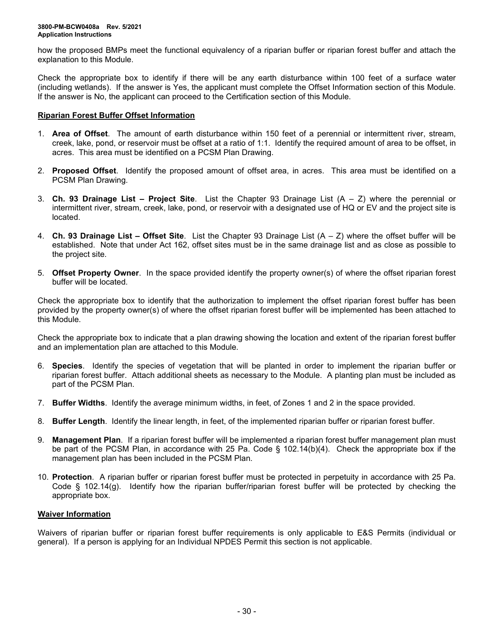how the proposed BMPs meet the functional equivalency of a riparian buffer or riparian forest buffer and attach the explanation to this Module.

Check the appropriate box to identify if there will be any earth disturbance within 100 feet of a surface water (including wetlands). If the answer is Yes, the applicant must complete the Offset Information section of this Module. If the answer is No, the applicant can proceed to the Certification section of this Module.

## **Riparian Forest Buffer Offset Information**

- 1. **Area of Offset**. The amount of earth disturbance within 150 feet of a perennial or intermittent river, stream, creek, lake, pond, or reservoir must be offset at a ratio of 1:1. Identify the required amount of area to be offset, in acres. This area must be identified on a PCSM Plan Drawing.
- 2. **Proposed Offset**. Identify the proposed amount of offset area, in acres. This area must be identified on a PCSM Plan Drawing.
- 3. **Ch. 93 Drainage List – Project Site**. List the Chapter 93 Drainage List (A Z) where the perennial or intermittent river, stream, creek, lake, pond, or reservoir with a designated use of HQ or EV and the project site is located.
- 4. **Ch. 93 Drainage List – Offset Site**. List the Chapter 93 Drainage List (A Z) where the offset buffer will be established. Note that under Act 162, offset sites must be in the same drainage list and as close as possible to the project site.
- 5. **Offset Property Owner**. In the space provided identify the property owner(s) of where the offset riparian forest buffer will be located.

Check the appropriate box to identify that the authorization to implement the offset riparian forest buffer has been provided by the property owner(s) of where the offset riparian forest buffer will be implemented has been attached to this Module.

Check the appropriate box to indicate that a plan drawing showing the location and extent of the riparian forest buffer and an implementation plan are attached to this Module.

- 6. **Species**. Identify the species of vegetation that will be planted in order to implement the riparian buffer or riparian forest buffer. Attach additional sheets as necessary to the Module. A planting plan must be included as part of the PCSM Plan.
- 7. **Buffer Widths**. Identify the average minimum widths, in feet, of Zones 1 and 2 in the space provided.
- 8. **Buffer Length**. Identify the linear length, in feet, of the implemented riparian buffer or riparian forest buffer.
- 9. **Management Plan**. If a riparian forest buffer will be implemented a riparian forest buffer management plan must be part of the PCSM Plan, in accordance with 25 Pa. Code § 102.14(b)(4). Check the appropriate box if the management plan has been included in the PCSM Plan.
- 10. **Protection**. A riparian buffer or riparian forest buffer must be protected in perpetuity in accordance with 25 Pa. Code § 102.14(g). Identify how the riparian buffer/riparian forest buffer will be protected by checking the appropriate box.

### **Waiver Information**

Waivers of riparian buffer or riparian forest buffer requirements is only applicable to E&S Permits (individual or general). If a person is applying for an Individual NPDES Permit this section is not applicable.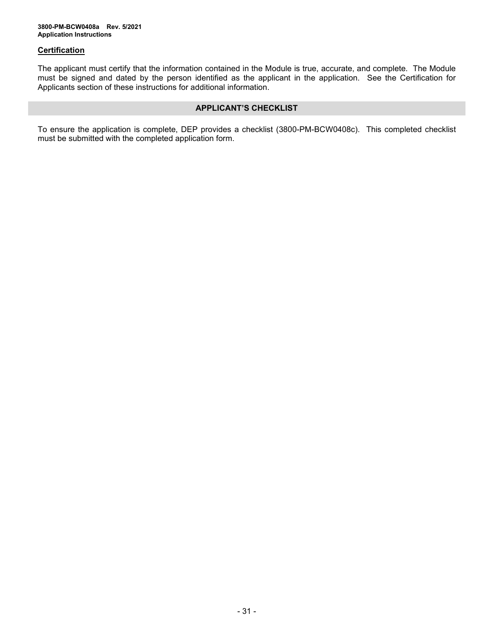## **Certification**

The applicant must certify that the information contained in the Module is true, accurate, and complete. The Module must be signed and dated by the person identified as the applicant in the application. See the Certification for Applicants section of these instructions for additional information.

### **APPLICANT'S CHECKLIST**

To ensure the application is complete, DEP provides a checklist (3800-PM-BCW0408c). This completed checklist must be submitted with the completed application form.